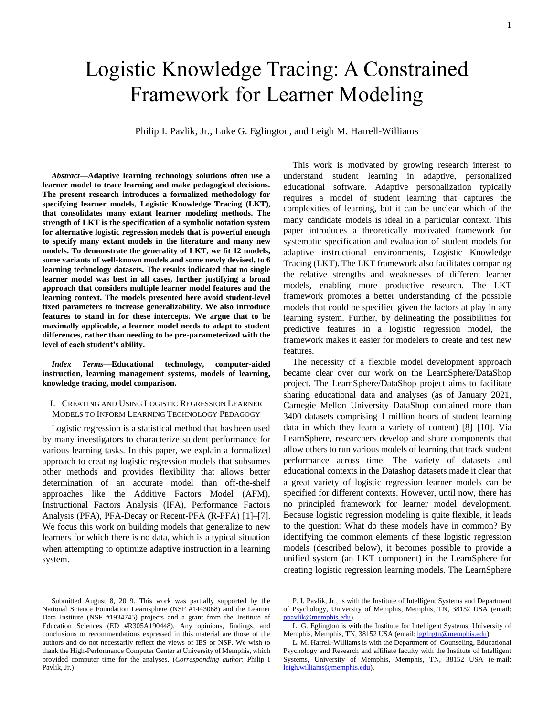# Logistic Knowledge Tracing: A Constrained Framework for Learner Modeling

Philip I. Pavlik, Jr., Luke G. Eglington, and Leigh M. Harrell-Williams

*Abstract***—Adaptive learning technology solutions often use a learner model to trace learning and make pedagogical decisions. The present research introduces a formalized methodology for specifying learner models, Logistic Knowledge Tracing (LKT), that consolidates many extant learner modeling methods. The strength of LKT is the specification of a symbolic notation system for alternative logistic regression models that is powerful enough to specify many extant models in the literature and many new models. To demonstrate the generality of LKT, we fit 12 models, some variants of well-known models and some newly devised, to 6 learning technology datasets. The results indicated that no single learner model was best in all cases, further justifying a broad approach that considers multiple learner model features and the learning context. The models presented here avoid student-level fixed parameters to increase generalizability. We also introduce features to stand in for these intercepts. We argue that to be maximally applicable, a learner model needs to adapt to student differences, rather than needing to be pre-parameterized with the level of each student's ability.**

*Index Terms***—Educational technology, computer-aided instruction, learning management systems, models of learning, knowledge tracing, model comparison.**

# <span id="page-0-0"></span>I. CREATING AND USING LOGISTIC REGRESSION LEARNER MODELS TO INFORM LEARNING TECHNOLOGY PEDAGOGY

Logistic regression is a statistical method that has been used by many investigators to characterize student performance for various learning tasks. In this paper, we explain a formalized approach to creating logistic regression models that subsumes other methods and provides flexibility that allows better determination of an accurate model than off-the-shelf approaches like the Additive Factors Model (AFM), Instructional Factors Analysis (IFA), Performance Factors Analysis (PFA), PFA-Decay or Recent-PFA (R-PFA) [1]–[7]. We focus this work on building models that generalize to new learners for which there is no data, which is a typical situation when attempting to optimize adaptive instruction in a learning system.

This work is motivated by growing research interest to understand student learning in adaptive, personalized educational software. Adaptive personalization typically requires a model of student learning that captures the complexities of learning, but it can be unclear which of the many candidate models is ideal in a particular context. This paper introduces a theoretically motivated framework for systematic specification and evaluation of student models for adaptive instructional environments, Logistic Knowledge Tracing (LKT). The LKT framework also facilitates comparing the relative strengths and weaknesses of different learner models, enabling more productive research. The LKT framework promotes a better understanding of the possible models that could be specified given the factors at play in any learning system. Further, by delineating the possibilities for predictive features in a logistic regression model, the framework makes it easier for modelers to create and test new features.

The necessity of a flexible model development approach became clear over our work on the LearnSphere/DataShop project. The LearnSphere/DataShop project aims to facilitate sharing educational data and analyses (as of January 2021, Carnegie Mellon University DataShop contained more than 3400 datasets comprising 1 million hours of student learning data in which they learn a variety of content) [8]–[10]. Via LearnSphere, researchers develop and share components that allow others to run various models of learning that track student performance across time. The variety of datasets and educational contexts in the Datashop datasets made it clear that a great variety of logistic regression learner models can be specified for different contexts. However, until now, there has no principled framework for learner model development. Because logistic regression modeling is quite flexible, it leads to the question: What do these models have in common? By identifying the common elements of these logistic regression models (described below), it becomes possible to provide a unified system (an LKT component) in the LearnSphere for creating logistic regression learning models. The LearnSphere

Submitted August 8, 2019. This work was partially supported by the National Science Foundation Learnsphere (NSF #1443068) and the Learner Data Institute (NSF #1934745) projects and a grant from the Institute of Education Sciences (ED #R305A190448). Any opinions, findings, and conclusions or recommendations expressed in this material are those of the authors and do not necessarily reflect the views of IES or NSF. We wish to thank the High-Performance Computer Center at University of Memphis, which provided computer time for the analyses. (*Corresponding author*: Philip I Pavlik, Jr.)

P. I. Pavlik, Jr., is with the Institute of Intelligent Systems and Department of Psychology, University of Memphis, Memphis, TN, 38152 USA (email: [ppavlik@memphis.edu\)](mailto:ppavlik@memphis.edu).

L. G. Eglington is with the Institute for Intelligent Systems, University of Memphis, Memphis, TN, 38152 USA (email[: lgglngtn@memphis.edu\)](mailto:lgglngtn@memphis.edu).

L. M. Harrell-Williams is with the Department of Counseling, Educational Psychology and Research and affiliate faculty with the Institute of Intelligent Systems, University of Memphis, Memphis, TN, 38152 USA (e-mail: [leigh.williams@memphis.edu\)](file:///C:/Users/Leigh%20Williams/Dropbox/papers%20with%20UofM%20collaborators/phil%20pavlik/august%202019/GKT_final_edits/leigh.williams@memphis.edu).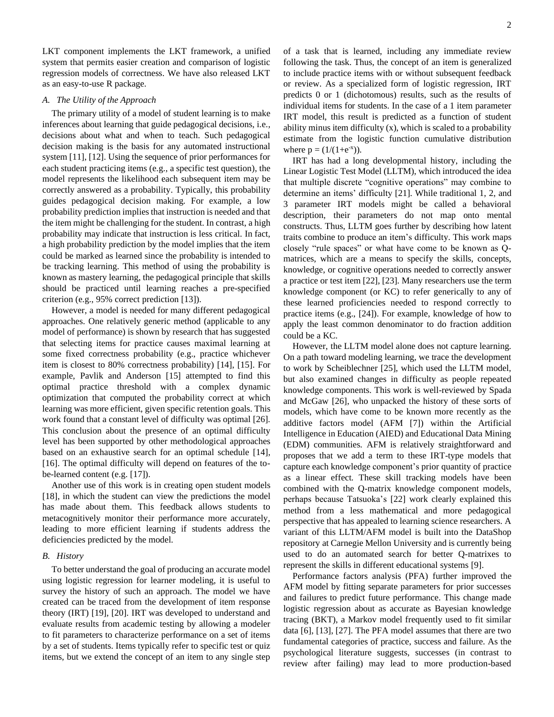LKT component implements the LKT framework, a unified system that permits easier creation and comparison of logistic regression models of correctness. We have also released LKT as an easy-to-use R package.

## *A. The Utility of the Approach*

The primary utility of a model of student learning is to make inferences about learning that guide pedagogical decisions, i.e., decisions about what and when to teach. Such pedagogical decision making is the basis for any automated instructional system [11], [12]. Using the sequence of prior performances for each student practicing items (e.g., a specific test question), the model represents the likelihood each subsequent item may be correctly answered as a probability. Typically, this probability guides pedagogical decision making. For example, a low probability prediction implies that instruction is needed and that the item might be challenging for the student. In contrast, a high probability may indicate that instruction is less critical. In fact, a high probability prediction by the model implies that the item could be marked as learned since the probability is intended to be tracking learning. This method of using the probability is known as mastery learning, the pedagogical principle that skills should be practiced until learning reaches a pre-specified criterion (e.g., 95% correct prediction [13]).

However, a model is needed for many different pedagogical approaches. One relatively generic method (applicable to any model of performance) is shown by research that has suggested that selecting items for practice causes maximal learning at some fixed correctness probability (e.g., practice whichever item is closest to 80% correctness probability) [14], [15]. For example, Pavlik and Anderson [15] attempted to find this optimal practice threshold with a complex dynamic optimization that computed the probability correct at which learning was more efficient, given specific retention goals. This work found that a constant level of difficulty was optimal [26]. This conclusion about the presence of an optimal difficulty level has been supported by other methodological approaches based on an exhaustive search for an optimal schedule [14], [16]. The optimal difficulty will depend on features of the tobe-learned content (e.g. [17]).

Another use of this work is in creating open student models [18], in which the student can view the predictions the model has made about them. This feedback allows students to metacognitively monitor their performance more accurately, leading to more efficient learning if students address the deficiencies predicted by the model.

# *B. History*

To better understand the goal of producing an accurate model using logistic regression for learner modeling, it is useful to survey the history of such an approach. The model we have created can be traced from the development of item response theory (IRT) [19], [20]. IRT was developed to understand and evaluate results from academic testing by allowing a modeler to fit parameters to characterize performance on a set of items by a set of students. Items typically refer to specific test or quiz items, but we extend the concept of an item to any single step

of a task that is learned, including any immediate review following the task. Thus, the concept of an item is generalized to include practice items with or without subsequent feedback or review. As a specialized form of logistic regression, IRT predicts 0 or 1 (dichotomous) results, such as the results of

individual items for students. In the case of a 1 item parameter IRT model, this result is predicted as a function of student ability minus item difficulty (x), which is scaled to a probability estimate from the logistic function cumulative distribution where  $p = (1/(1+e^{-x}))$ .

IRT has had a long developmental history, including the Linear Logistic Test Model (LLTM), which introduced the idea that multiple discrete "cognitive operations" may combine to determine an items' difficulty [21]. While traditional 1, 2, and 3 parameter IRT models might be called a behavioral description, their parameters do not map onto mental constructs. Thus, LLTM goes further by describing how latent traits combine to produce an item's difficulty. This work maps closely "rule spaces" or what have come to be known as Qmatrices, which are a means to specify the skills, concepts, knowledge, or cognitive operations needed to correctly answer a practice or test item [22], [23]. Many researchers use the term knowledge component (or KC) to refer generically to any of these learned proficiencies needed to respond correctly to practice items (e.g., [24]). For example, knowledge of how to apply the least common denominator to do fraction addition could be a KC.

However, the LLTM model alone does not capture learning. On a path toward modeling learning, we trace the development to work by Scheiblechner [25], which used the LLTM model, but also examined changes in difficulty as people repeated knowledge components. This work is well-reviewed by Spada and McGaw [26], who unpacked the history of these sorts of models, which have come to be known more recently as the additive factors model (AFM [7]) within the Artificial Intelligence in Education (AIED) and Educational Data Mining (EDM) communities. AFM is relatively straightforward and proposes that we add a term to these IRT-type models that capture each knowledge component's prior quantity of practice as a linear effect. These skill tracking models have been combined with the Q-matrix knowledge component models, perhaps because Tatsuoka's [22] work clearly explained this method from a less mathematical and more pedagogical perspective that has appealed to learning science researchers. A variant of this LLTM/AFM model is built into the DataShop repository at Carnegie Mellon University and is currently being used to do an automated search for better Q-matrixes to represent the skills in different educational systems [9].

Performance factors analysis (PFA) further improved the AFM model by fitting separate parameters for prior successes and failures to predict future performance. This change made logistic regression about as accurate as Bayesian knowledge tracing (BKT), a Markov model frequently used to fit similar data [6], [13], [27]. The PFA model assumes that there are two fundamental categories of practice, success and failure. As the psychological literature suggests, successes (in contrast to review after failing) may lead to more production-based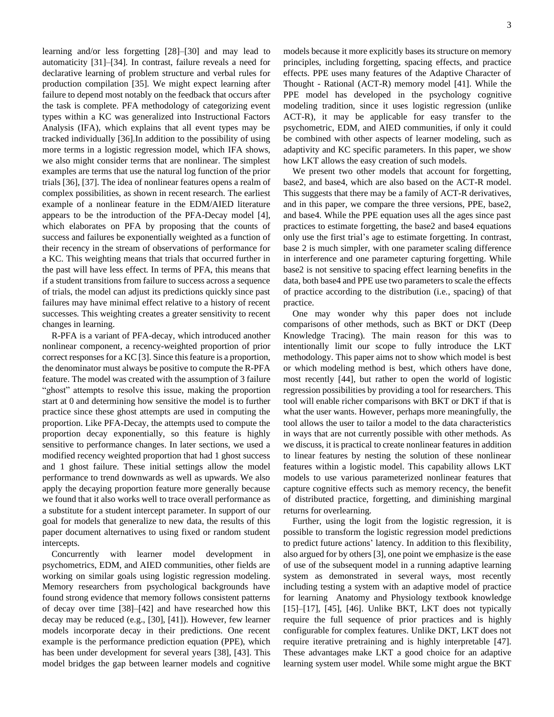learning and/or less forgetting [28]–[30] and may lead to automaticity [31]–[34]. In contrast, failure reveals a need for declarative learning of problem structure and verbal rules for production compilation [35]. We might expect learning after failure to depend most notably on the feedback that occurs after the task is complete. PFA methodology of categorizing event types within a KC was generalized into Instructional Factors Analysis (IFA), which explains that all event types may be tracked individually [36].In addition to the possibility of using more terms in a logistic regression model, which IFA shows, we also might consider terms that are nonlinear. The simplest examples are terms that use the natural log function of the prior trials [36], [37]. The idea of nonlinear features opens a realm of complex possibilities, as shown in recent research. The earliest example of a nonlinear feature in the EDM/AIED literature appears to be the introduction of the PFA-Decay model [4], which elaborates on PFA by proposing that the counts of success and failures be exponentially weighted as a function of their recency in the stream of observations of performance for a KC. This weighting means that trials that occurred further in the past will have less effect. In terms of PFA, this means that if a student transitions from failure to success across a sequence of trials, the model can adjust its predictions quickly since past failures may have minimal effect relative to a history of recent successes. This weighting creates a greater sensitivity to recent changes in learning.

R-PFA is a variant of PFA-decay, which introduced another nonlinear component, a recency-weighted proportion of prior correct responses for a KC [3]. Since this feature is a proportion, the denominator must always be positive to compute the R-PFA feature. The model was created with the assumption of 3 failure "ghost" attempts to resolve this issue, making the proportion start at 0 and determining how sensitive the model is to further practice since these ghost attempts are used in computing the proportion. Like PFA-Decay, the attempts used to compute the proportion decay exponentially, so this feature is highly sensitive to performance changes. In later sections, we used a modified recency weighted proportion that had 1 ghost success and 1 ghost failure. These initial settings allow the model performance to trend downwards as well as upwards. We also apply the decaying proportion feature more generally because we found that it also works well to trace overall performance as a substitute for a student intercept parameter. In support of our goal for models that generalize to new data, the results of this paper document alternatives to using fixed or random student intercepts.

Concurrently with learner model development in psychometrics, EDM, and AIED communities, other fields are working on similar goals using logistic regression modeling. Memory researchers from psychological backgrounds have found strong evidence that memory follows consistent patterns of decay over time [38]–[42] and have researched how this decay may be reduced (e.g., [30], [41]). However, few learner models incorporate decay in their predictions. One recent example is the performance prediction equation (PPE), which has been under development for several years [38], [43]. This model bridges the gap between learner models and cognitive models because it more explicitly bases its structure on memory principles, including forgetting, spacing effects, and practice effects. PPE uses many features of the Adaptive Character of Thought - Rational (ACT-R) memory model [41]. While the PPE model has developed in the psychology cognitive modeling tradition, since it uses logistic regression (unlike ACT-R), it may be applicable for easy transfer to the psychometric, EDM, and AIED communities, if only it could be combined with other aspects of learner modeling, such as adaptivity and KC specific parameters. In this paper, we show how LKT allows the easy creation of such models.

We present two other models that account for forgetting, base2, and base4, which are also based on the ACT-R model. This suggests that there may be a family of ACT-R derivatives, and in this paper, we compare the three versions, PPE, base2, and base4. While the PPE equation uses all the ages since past practices to estimate forgetting, the base2 and base4 equations only use the first trial's age to estimate forgetting. In contrast, base 2 is much simpler, with one parameter scaling difference in interference and one parameter capturing forgetting. While base2 is not sensitive to spacing effect learning benefits in the data, both base4 and PPE use two parameters to scale the effects of practice according to the distribution (i.e., spacing) of that practice.

One may wonder why this paper does not include comparisons of other methods, such as BKT or DKT (Deep Knowledge Tracing). The main reason for this was to intentionally limit our scope to fully introduce the LKT methodology. This paper aims not to show which model is best or which modeling method is best, which others have done, most recently [44], but rather to open the world of logistic regression possibilities by providing a tool for researchers. This tool will enable richer comparisons with BKT or DKT if that is what the user wants. However, perhaps more meaningfully, the tool allows the user to tailor a model to the data characteristics in ways that are not currently possible with other methods. As we discuss, it is practical to create nonlinear features in addition to linear features by nesting the solution of these nonlinear features within a logistic model. This capability allows LKT models to use various parameterized nonlinear features that capture cognitive effects such as memory recency, the benefit of distributed practice, forgetting, and diminishing marginal returns for overlearning.

Further, using the logit from the logistic regression, it is possible to transform the logistic regression model predictions to predict future actions' latency. In addition to this flexibility, also argued for by others [3], one point we emphasize is the ease of use of the subsequent model in a running adaptive learning system as demonstrated in several ways, most recently including testing a system with an adaptive model of practice for learning Anatomy and Physiology textbook knowledge [15]–[17], [45], [46]. Unlike BKT, LKT does not typically require the full sequence of prior practices and is highly configurable for complex features. Unlike DKT, LKT does not require iterative pretraining and is highly interpretable [47]. These advantages make LKT a good choice for an adaptive learning system user model. While some might argue the BKT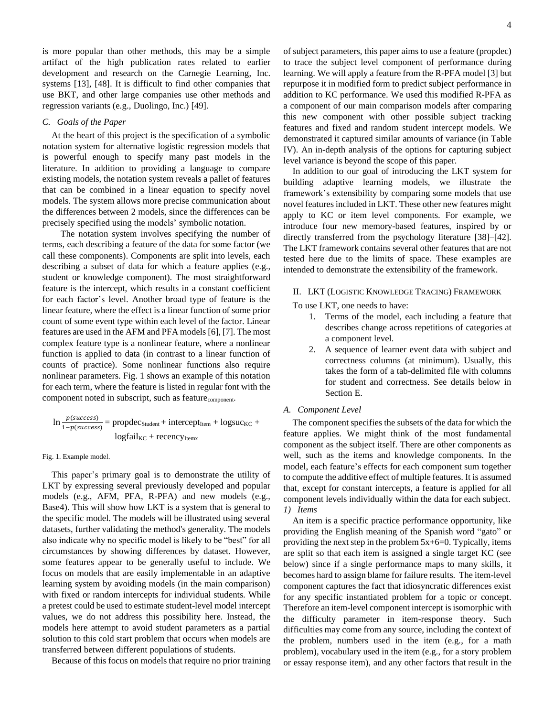is more popular than other methods, this may be a simple artifact of the high publication rates related to earlier development and research on the Carnegie Learning, Inc. systems [13], [48]. It is difficult to find other companies that use BKT, and other large companies use other methods and regression variants (e.g., Duolingo, Inc.) [49].

## <span id="page-3-0"></span>*C. Goals of the Paper*

At the heart of this project is the specification of a symbolic notation system for alternative logistic regression models that is powerful enough to specify many past models in the literature. In addition to providing a language to compare existing models, the notation system reveals a pallet of features that can be combined in a linear equation to specify novel models. The system allows more precise communication about the differences between 2 models, since the differences can be precisely specified using the models' symbolic notation.

The notation system involves specifying the number of terms, each describing a feature of the data for some factor (we call these components). Components are split into levels, each describing a subset of data for which a feature applies (e.g., student or knowledge component). The most straightforward feature is the intercept, which results in a constant coefficient for each factor's level. Another broad type of feature is the linear feature, where the effect is a linear function of some prior count of some event type within each level of the factor. Linear features are used in the AFM and PFA models [6], [7]. The most complex feature type is a nonlinear feature, where a nonlinear function is applied to data (in contrast to a linear function of counts of practice). Some nonlinear functions also require nonlinear parameters. Fig. 1 shows an example of this notation for each term, where the feature is listed in regular font with the component noted in subscript, such as featurecomponent.

$$
ln \frac{p(success)}{1-p(saccess)} = propdec_{Student} + intercept_{Item} + logsucc_{KC} + logsize_{sum}
$$

#### Fig. 1. Example model.

This paper's primary goal is to demonstrate the utility of LKT by expressing several previously developed and popular models (e.g., AFM, PFA, R-PFA) and new models (e.g., Base4). This will show how LKT is a system that is general to the specific model. The models will be illustrated using several datasets, further validating the method's generality. The models also indicate why no specific model is likely to be "best" for all circumstances by showing differences by dataset. However, some features appear to be generally useful to include. We focus on models that are easily implementable in an adaptive learning system by avoiding models (in the main comparison) with fixed or random intercepts for individual students. While a pretest could be used to estimate student-level model intercept values, we do not address this possibility here. Instead, the models here attempt to avoid student parameters as a partial solution to this cold start problem that occurs when models are transferred between different populations of students.

Because of this focus on models that require no prior training

of subject parameters, this paper aims to use a feature (propdec) to trace the subject level component of performance during learning. We will apply a feature from the R-PFA model [3] but repurpose it in modified form to predict subject performance in addition to KC performance. We used this modified R-PFA as a component of our main comparison models after comparing this new component with other possible subject tracking features and fixed and random student intercept models. We demonstrated it captured similar amounts of variance (in [Table](#page-8-0)  [IV\)](#page-8-0). An in-depth analysis of the options for capturing subject level variance is beyond the scope of this paper.

In addition to our goal of introducing the LKT system for building adaptive learning models, we illustrate the framework's extensibility by comparing some models that use novel features included in LKT. These other new features might apply to KC or item level components. For example, we introduce four new memory-based features, inspired by or directly transferred from the psychology literature [38]–[42]. The LKT framework contains several other features that are not tested here due to the limits of space. These examples are intended to demonstrate the extensibility of the framework.

# II. LKT (LOGISTIC KNOWLEDGE TRACING) FRAMEWORK

To use LKT, one needs to have:

- 1. Terms of the model, each including a feature that describes change across repetitions of categories at a component level.
- 2. A sequence of learner event data with subject and correctness columns (at minimum). Usually, this takes the form of a tab-delimited file with columns for student and correctness. See details below in Section [E.](#page-6-0)

#### *A. Component Level*

The component specifies the subsets of the data for which the feature applies. We might think of the most fundamental component as the subject itself. There are other components as well, such as the items and knowledge components. In the model, each feature's effects for each component sum together to compute the additive effect of multiple features. It is assumed that, except for constant intercepts, a feature is applied for all component levels individually within the data for each subject. *1) Items*

An item is a specific practice performance opportunity, like providing the English meaning of the Spanish word "gato" or providing the next step in the problem 5x+6=0. Typically, items are split so that each item is assigned a single target KC (see below) since if a single performance maps to many skills, it becomes hard to assign blame for failure results. The item-level component captures the fact that idiosyncratic differences exist for any specific instantiated problem for a topic or concept. Therefore an item-level component intercept is isomorphic with the difficulty parameter in item-response theory. Such difficulties may come from any source, including the context of the problem, numbers used in the item (e.g., for a math problem), vocabulary used in the item (e.g., for a story problem or essay response item), and any other factors that result in the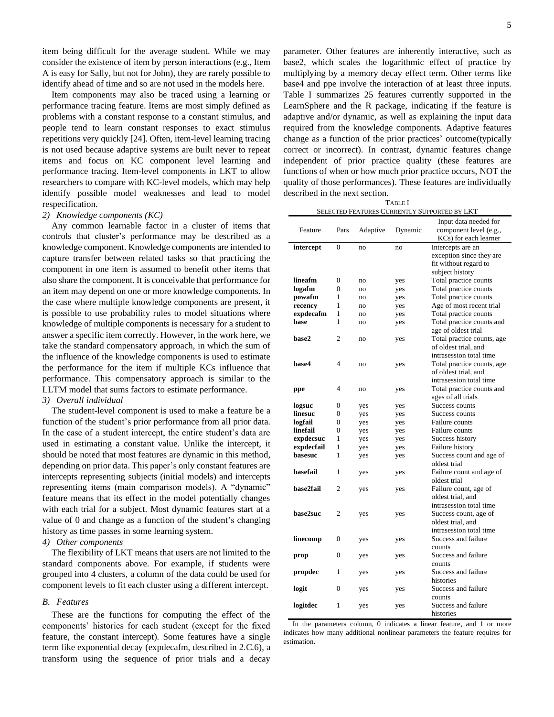item being difficult for the average student. While we may consider the existence of item by person interactions (e.g., Item A is easy for Sally, but not for John), they are rarely possible to identify ahead of time and so are not used in the models here.

Item components may also be traced using a learning or performance tracing feature. Items are most simply defined as problems with a constant response to a constant stimulus, and people tend to learn constant responses to exact stimulus repetitions very quickly [24]. Often, item-level learning tracing is not used because adaptive systems are built never to repeat items and focus on KC component level learning and performance tracing. Item-level components in LKT to allow researchers to compare with KC-level models, which may help identify possible model weaknesses and lead to model respecification.

## *2) Knowledge components (KC)*

Any common learnable factor in a cluster of items that controls that cluster's performance may be described as a knowledge component. Knowledge components are intended to capture transfer between related tasks so that practicing the component in one item is assumed to benefit other items that also share the component. It is conceivable that performance for an item may depend on one or more knowledge components. In the case where multiple knowledge components are present, it is possible to use probability rules to model situations where knowledge of multiple components is necessary for a student to answer a specific item correctly. However, in the work here, we take the standard compensatory approach, in which the sum of the influence of the knowledge components is used to estimate the performance for the item if multiple KCs influence that performance. This compensatory approach is similar to the LLTM model that sums factors to estimate performance.

# *3) Overall individual*

The student-level component is used to make a feature be a function of the student's prior performance from all prior data. In the case of a student intercept, the entire student's data are used in estimating a constant value. Unlike the intercept, it should be noted that most features are dynamic in this method, depending on prior data. This paper's only constant features are intercepts representing subjects (initial models) and intercepts representing items (main comparison models). A "dynamic" feature means that its effect in the model potentially changes with each trial for a subject. Most dynamic features start at a value of 0 and change as a function of the student's changing history as time passes in some learning system.

# *4) Other components*

The flexibility of LKT means that users are not limited to the standard components above. For example, if students were grouped into 4 clusters, a column of the data could be used for component levels to fit each cluster using a different intercept.

# *B. Features*

These are the functions for computing the effect of the components' histories for each student (except for the fixed feature, the constant intercept). Some features have a single term like exponential decay (expdecafm, described in 2.C.6), a transform using the sequence of prior trials and a decay

parameter. Other features are inherently interactive, such as base2, which scales the logarithmic effect of practice by multiplying by a memory decay effect term. Other terms like base4 and ppe involve the interaction of at least three inputs. [Table I](#page-4-0) summarizes 25 features currently supported in the LearnSphere and the R package, indicating if the feature is adaptive and/or dynamic, as well as explaining the input data required from the knowledge components. Adaptive features change as a function of the prior practices' outcome(typically correct or incorrect). In contrast, dynamic features change independent of prior practice quality (these features are functions of when or how much prior practice occurs, NOT the quality of those performances). These features are individually described in the next section.

TABLE I SELECTED FEATURES CURRENTLY SUPPORTED BY LKT

<span id="page-4-0"></span>

| Feature    | Pars           | Adaptive | Dynamic | Input data needed for<br>component level (e.g.,<br>KCs) for each learner |
|------------|----------------|----------|---------|--------------------------------------------------------------------------|
| intercept  | 0              | no       | no      | Intercepts are an                                                        |
|            |                |          |         | exception since they are                                                 |
|            |                |          |         | fit without regard to                                                    |
|            |                |          |         | subject history                                                          |
| lineafm    | 0              | no       | yes     | Total practice counts                                                    |
| logafm     | 0              | no       | yes     | Total practice counts                                                    |
| powafm     | 1              | no       | yes     | Total practice counts                                                    |
| recency    | 1              | no       | yes     | Age of most recent trial                                                 |
| expdecafm  | 1              | no       | yes     | Total practice counts                                                    |
| base       | 1              | no       | yes     | Total practice counts and                                                |
|            |                |          |         | age of oldest trial                                                      |
| base2      | $\overline{c}$ | no       | yes     | Total practice counts, age                                               |
|            |                |          |         | of oldest trial, and                                                     |
|            |                |          |         | intrasession total time                                                  |
| base4      | 4              | no       | yes     | Total practice counts, age                                               |
|            |                |          |         | of oldest trial, and                                                     |
|            |                |          |         | intrasession total time                                                  |
| ppe        | 4              | no       | yes     | Total practice counts and                                                |
|            |                |          |         | ages of all trials                                                       |
| logsuc     | 0              | yes      | yes     | Success counts                                                           |
| linesuc    | 0              | yes      | yes     | Success counts                                                           |
| logfail    | 0              | yes      | yes     | Failure counts                                                           |
| linefail   | 0              | yes      | yes     | Failure counts                                                           |
| expdecsuc  | 1              | yes      | yes     | Success history                                                          |
| expdecfail | 1              | yes      | yes     | Failure history                                                          |
| basesuc    | 1              | yes      | yes     | Success count and age of                                                 |
|            |                |          |         | oldest trial                                                             |
| basefail   | 1              | yes      | yes     | Failure count and age of                                                 |
|            |                |          |         | oldest trial                                                             |
| base2fail  | 2              | yes      | yes     | Failure count, age of                                                    |
|            |                |          |         | oldest trial, and                                                        |
|            |                |          |         | intrasession total time                                                  |
| base2suc   | $\overline{c}$ | yes      | yes     | Success count, age of                                                    |
|            |                |          |         | oldest trial, and                                                        |
|            |                |          |         | intrasession total time                                                  |
| linecomp   | 0              | yes      | yes     | Success and failure                                                      |
|            |                |          |         | counts                                                                   |
| prop       | 0              | yes      | yes     | Success and failure                                                      |
|            |                |          |         | counts                                                                   |
| propdec    | 1              | yes      | yes     | Success and failure                                                      |
|            |                |          |         | histories                                                                |
| logit      | 0              | yes      | yes     | Success and failure                                                      |
|            |                |          |         | counts                                                                   |
| logitdec   | 1              | yes      | yes     | Success and failure                                                      |
|            |                |          |         | histories                                                                |

In the parameters column, 0 indicates a linear feature, and 1 or more indicates how many additional nonlinear parameters the feature requires for estimation.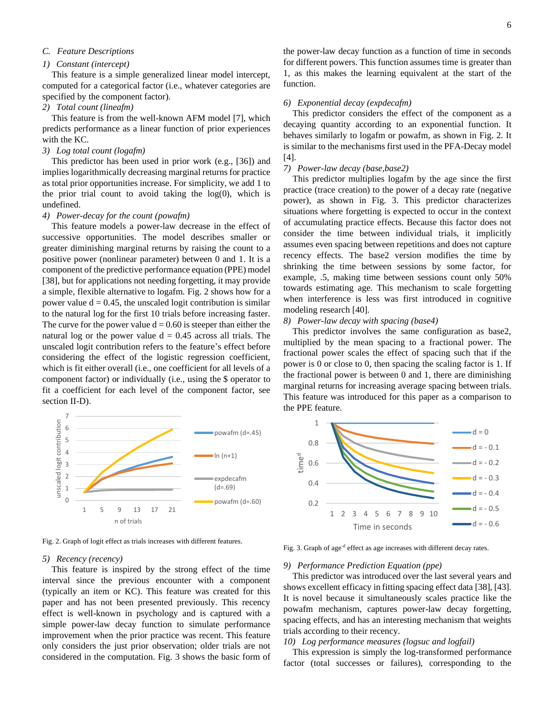# *C. Feature Descriptions*

## *1) Constant (intercept)*

This feature is a simple generalized linear model intercept, computed for a categorical factor (i.e., whatever categories are specified by the component factor).

#### *2) Total count (lineafm)*

This feature is from the well-known AFM model [7], which predicts performance as a linear function of prior experiences with the KC.

# *3) Log total count (logafm)*

This predictor has been used in prior work (e.g., [36]) and implies logarithmically decreasing marginal returns for practice as total prior opportunities increase. For simplicity, we add 1 to the prior trial count to avoid taking the  $log(0)$ , which is undefined.

# *4) Power-decay for the count (powafm)*

This feature models a power-law decrease in the effect of successive opportunities. The model describes smaller or greater diminishing marginal returns by raising the count to a positive power (nonlinear parameter) between 0 and 1. It is a component of the predictive performance equation (PPE) model [38], but for applications not needing forgetting, it may provide a simple, flexible alternative to logafm. Fig. 2 shows how for a power value  $d = 0.45$ , the unscaled logit contribution is similar to the natural log for the first 10 trials before increasing faster. The curve for the power value  $d = 0.60$  is steeper than either the natural log or the power value  $d = 0.45$  across all trials. The unscaled logit contribution refers to the feature's effect before considering the effect of the logistic regression coefficient, which is fit either overall (i.e., one coefficient for all levels of a component factor) or individually (i.e., using the \$ operator to fit a coefficient for each level of the component factor, see section II-D).



Fig. 2. Graph of logit effect as trials increases with different features.

## *5) Recency (recency)*

This feature is inspired by the strong effect of the time interval since the previous encounter with a component (typically an item or KC). This feature was created for this paper and has not been presented previously. This recency effect is well-known in psychology and is captured with a simple power-law decay function to simulate performance improvement when the prior practice was recent. This feature only considers the just prior observation; older trials are not considered in the computation. Fig. 3 shows the basic form of

the power-law decay function as a function of time in seconds for different powers. This function assumes time is greater than 1, as this makes the learning equivalent at the start of the function.

## *6) Exponential decay (expdecafm)*

This predictor considers the effect of the component as a decaying quantity according to an exponential function. It behaves similarly to logafm or powafm, as shown in Fig. 2. It is similar to the mechanisms first used in the PFA-Decay model [4].

# *7) Power-law decay (base,base2)*

This predictor multiplies logafm by the age since the first practice (trace creation) to the power of a decay rate (negative power), as shown in Fig. 3. This predictor characterizes situations where forgetting is expected to occur in the context of accumulating practice effects. Because this factor does not consider the time between individual trials, it implicitly assumes even spacing between repetitions and does not capture recency effects. The base2 version modifies the time by shrinking the time between sessions by some factor, for example, .5, making time between sessions count only 50% towards estimating age. This mechanism to scale forgetting when interference is less was first introduced in cognitive modeling research [40].

## *8) Power-law decay with spacing (base4)*

This predictor involves the same configuration as base2, multiplied by the mean spacing to a fractional power. The fractional power scales the effect of spacing such that if the power is 0 or close to 0, then spacing the scaling factor is 1. If the fractional power is between 0 and 1, there are diminishing marginal returns for increasing average spacing between trials. This feature was introduced for this paper as a comparison to the PPE feature.



Fig. 3. Graph of age<sup>-d</sup> effect as age increases with different decay rates.

## *9) Performance Prediction Equation (ppe)*

This predictor was introduced over the last several years and shows excellent efficacy in fitting spacing effect data [38], [43]. It is novel because it simultaneously scales practice like the powafm mechanism, captures power-law decay forgetting, spacing effects, and has an interesting mechanism that weights trials according to their recency.

# *10) Log performance measures (logsuc and logfail)*

This expression is simply the log-transformed performance factor (total successes or failures), corresponding to the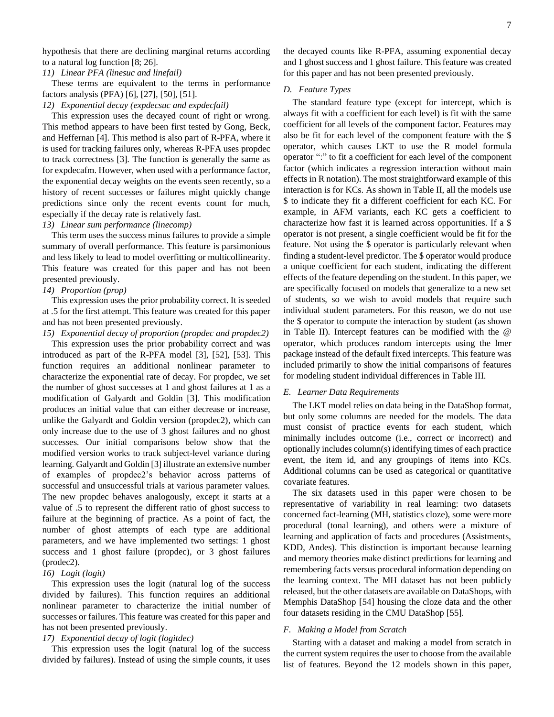hypothesis that there are declining marginal returns according to a natural log function [8; 26].

*11) Linear PFA (linesuc and linefail)*

These terms are equivalent to the terms in performance factors analysis (PFA) [6], [27], [50], [51].

*12) Exponential decay (expdecsuc and expdecfail)*

This expression uses the decayed count of right or wrong. This method appears to have been first tested by Gong, Beck, and Heffernan [4]. This method is also part of R-PFA, where it is used for tracking failures only, whereas R-PFA uses propdec to track correctness [3]. The function is generally the same as for expdecafm. However, when used with a performance factor, the exponential decay weights on the events seen recently, so a history of recent successes or failures might quickly change predictions since only the recent events count for much, especially if the decay rate is relatively fast.

# *13) Linear sum performance (linecomp)*

This term uses the success minus failures to provide a simple summary of overall performance. This feature is parsimonious and less likely to lead to model overfitting or multicollinearity. This feature was created for this paper and has not been presented previously.

# *14) Proportion (prop)*

This expression uses the prior probability correct. It is seeded at .5 for the first attempt. This feature was created for this paper and has not been presented previously.

*15) Exponential decay of proportion (propdec and propdec2)*

This expression uses the prior probability correct and was introduced as part of the R-PFA model [3], [52], [53]. This function requires an additional nonlinear parameter to characterize the exponential rate of decay. For propdec, we set the number of ghost successes at 1 and ghost failures at 1 as a modification of Galyardt and Goldin [3]. This modification produces an initial value that can either decrease or increase, unlike the Galyardt and Goldin version (propdec2), which can only increase due to the use of 3 ghost failures and no ghost successes. Our initial comparisons below show that the modified version works to track subject-level variance during learning. Galyardt and Goldin [3] illustrate an extensive number of examples of propdec2's behavior across patterns of successful and unsuccessful trials at various parameter values. The new propdec behaves analogously, except it starts at a value of .5 to represent the different ratio of ghost success to failure at the beginning of practice. As a point of fact, the number of ghost attempts of each type are additional parameters, and we have implemented two settings: 1 ghost success and 1 ghost failure (propdec), or 3 ghost failures (prodec2).

## *16) Logit (logit)*

This expression uses the logit (natural log of the success divided by failures). This function requires an additional nonlinear parameter to characterize the initial number of successes or failures. This feature was created for this paper and has not been presented previously.

## *17) Exponential decay of logit (logitdec)*

This expression uses the logit (natural log of the success divided by failures). Instead of using the simple counts, it uses the decayed counts like R-PFA, assuming exponential decay and 1 ghost success and 1 ghost failure. This feature was created for this paper and has not been presented previously.

#### *D. Feature Types*

The standard feature type (except for intercept, which is always fit with a coefficient for each level) is fit with the same coefficient for all levels of the component factor. Features may also be fit for each level of the component feature with the \$ operator, which causes LKT to use the R model formula operator ":" to fit a coefficient for each level of the component factor (which indicates a regression interaction without main effects in R notation). The most straightforward example of this interaction is for KCs. As shown i[n Table II,](#page-7-0) all the models use \$ to indicate they fit a different coefficient for each KC. For example, in AFM variants, each KC gets a coefficient to characterize how fast it is learned across opportunities. If a \$ operator is not present, a single coefficient would be fit for the feature. Not using the \$ operator is particularly relevant when finding a student-level predictor. The \$ operator would produce a unique coefficient for each student, indicating the different effects of the feature depending on the student. In this paper, we are specifically focused on models that generalize to a new set of students, so we wish to avoid models that require such individual student parameters. For this reason, we do not use the \$ operator to compute the interaction by student (as shown in [Table II\)](#page-7-0). Intercept features can be modified with the @ operator, which produces random intercepts using the lmer package instead of the default fixed intercepts. This feature was included primarily to show the initial comparisons of features for modeling student individual differences in [Table III.](#page-8-1)

## <span id="page-6-0"></span>*E. Learner Data Requirements*

The LKT model relies on data being in the DataShop format, but only some columns are needed for the models. The data must consist of practice events for each student, which minimally includes outcome (i.e., correct or incorrect) and optionally includes column(s) identifying times of each practice event, the item id, and any groupings of items into KCs. Additional columns can be used as categorical or quantitative covariate features.

The six datasets used in this paper were chosen to be representative of variability in real learning: two datasets concerned fact-learning (MH, statistics cloze), some were more procedural (tonal learning), and others were a mixture of learning and application of facts and procedures (Assistments, KDD, Andes). This distinction is important because learning and memory theories make distinct predictions for learning and remembering facts versus procedural information depending on the learning context. The MH dataset has not been publicly released, but the other datasets are available on DataShops, with Memphis DataShop [54] housing the cloze data and the other four datasets residing in the CMU DataShop [55].

## *F. Making a Model from Scratch*

Starting with a dataset and making a model from scratch in the current system requires the user to choose from the available list of features. Beyond the 12 models shown in this paper,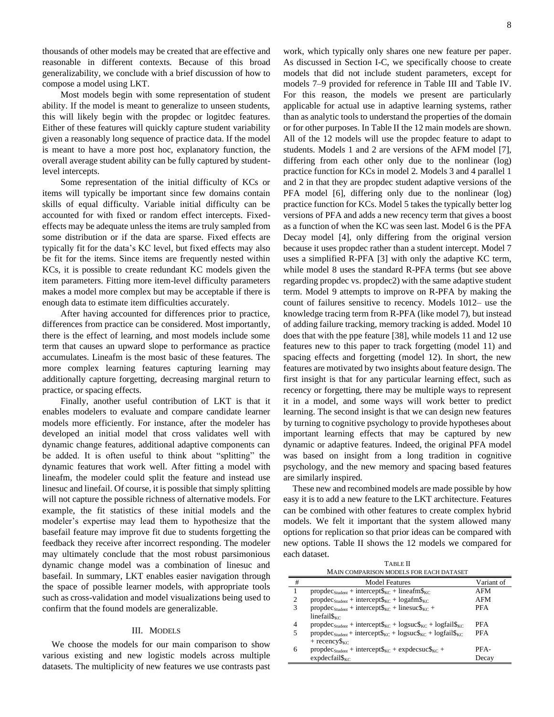thousands of other models may be created that are effective and reasonable in different contexts. Because of this broad generalizability, we conclude with a brief discussion of how to compose a model using LKT.

Most models begin with some representation of student ability. If the model is meant to generalize to unseen students, this will likely begin with the propdec or logitdec features. Either of these features will quickly capture student variability given a reasonably long sequence of practice data. If the model is meant to have a more post hoc, explanatory function, the overall average student ability can be fully captured by studentlevel intercepts.

Some representation of the initial difficulty of KCs or items will typically be important since few domains contain skills of equal difficulty. Variable initial difficulty can be accounted for with fixed or random effect intercepts. Fixedeffects may be adequate unless the items are truly sampled from some distribution or if the data are sparse. Fixed effects are typically fit for the data's KC level, but fixed effects may also be fit for the items. Since items are frequently nested within KCs, it is possible to create redundant KC models given the item parameters. Fitting more item-level difficulty parameters makes a model more complex but may be acceptable if there is enough data to estimate item difficulties accurately.

After having accounted for differences prior to practice, differences from practice can be considered. Most importantly, there is the effect of learning, and most models include some term that causes an upward slope to performance as practice accumulates. Lineafm is the most basic of these features. The more complex learning features capturing learning may additionally capture forgetting, decreasing marginal return to practice, or spacing effects.

Finally, another useful contribution of LKT is that it enables modelers to evaluate and compare candidate learner models more efficiently. For instance, after the modeler has developed an initial model that cross validates well with dynamic change features, additional adaptive components can be added. It is often useful to think about "splitting" the dynamic features that work well. After fitting a model with lineafm, the modeler could split the feature and instead use linesuc and linefail. Of course, it is possible that simply splitting will not capture the possible richness of alternative models. For example, the fit statistics of these initial models and the modeler's expertise may lead them to hypothesize that the basefail feature may improve fit due to students forgetting the feedback they receive after incorrect responding. The modeler may ultimately conclude that the most robust parsimonious dynamic change model was a combination of linesuc and basefail. In summary, LKT enables easier navigation through the space of possible learner models, with appropriate tools such as cross-validation and model visualizations being used to confirm that the found models are generalizable.

## III. MODELS

We choose the models for our main comparison to show various existing and new logistic models across multiple datasets. The multiplicity of new features we use contrasts past work, which typically only shares one new feature per paper. As discussed in Section [I](#page-0-0)[-C,](#page-3-0) we specifically choose to create models that did not include student parameters, except for models 7–9 provided for reference in [Table III](#page-8-1) and [Table IV.](#page-8-0) For this reason, the models we present are particularly applicable for actual use in adaptive learning systems, rather than as analytic tools to understand the properties of the domain or for other purposes. I[n Table II](#page-7-0) the 12 main models are shown. All of the 12 models will use the propdec feature to adapt to students. Models 1 and 2 are versions of the AFM model [7], differing from each other only due to the nonlinear (log) practice function for KCs in model 2. Models 3 and 4 parallel 1 and 2 in that they are propdec student adaptive versions of the PFA model [6], differing only due to the nonlinear (log) practice function for KCs. Model 5 takes the typically better log versions of PFA and adds a new recency term that gives a boost as a function of when the KC was seen last. Model 6 is the PFA Decay model [4], only differing from the original version because it uses propdec rather than a student intercept. Model 7 uses a simplified R-PFA [3] with only the adaptive KC term, while model 8 uses the standard R-PFA terms (but see above regarding propdec vs. propdec2) with the same adaptive student term. Model 9 attempts to improve on R-PFA by making the count of failures sensitive to recency. Models 1012– use the knowledge tracing term from R-PFA (like model 7), but instead of adding failure tracking, memory tracking is added. Model 10 does that with the ppe feature [38], while models 11 and 12 use features new to this paper to track forgetting (model 11) and spacing effects and forgetting (model 12). In short, the new features are motivated by two insights about feature design. The first insight is that for any particular learning effect, such as recency or forgetting, there may be multiple ways to represent it in a model, and some ways will work better to predict learning. The second insight is that we can design new features by turning to cognitive psychology to provide hypotheses about important learning effects that may be captured by new dynamic or adaptive features. Indeed, the original PFA model was based on insight from a long tradition in cognitive psychology, and the new memory and spacing based features are similarly inspired.

These new and recombined models are made possible by how easy it is to add a new feature to the LKT architecture. Features can be combined with other features to create complex hybrid models. We felt it important that the system allowed many options for replication so that prior ideas can be compared with new options. [Table II](#page-7-0) shows the 12 models we compared for each dataset.

| <b>TABLE II</b>                         |
|-----------------------------------------|
| MAIN COMPARISON MODELS FOR EACH DATASET |

<span id="page-7-0"></span>

|   | .000/2011 12:20:00 / 2012 12:20:00 / 2012 12:20:00 / 2012 12:20:00 / 2012 12:20:00 / 2012 12:20:00 / 2012 12:2             |            |
|---|----------------------------------------------------------------------------------------------------------------------------|------------|
| # | <b>Model Features</b>                                                                                                      | Variant of |
|   | $propdecStudent + interceptgKC + linegKC$                                                                                  | <b>AFM</b> |
| 2 | $propdecStudent + intercept\$_{KC} + logafm\$_{KC}$                                                                        | AFM        |
| 3 | $propdecStudent + interceptgKC + linesucgKC +$                                                                             | <b>PFA</b> |
|   | linefail $\mathcal{S}_{\kappa}$                                                                                            |            |
| 4 | $propdecStudent + intercept\$ <sub>KC</sub> + $logsucc$ <sub>KC</sub> + $logfrac$ <sub>KC</sub> + $logfail\$ <sub>KC</sub> | <b>PFA</b> |
| 5 | $propdecStudent + intercept\$ <sub>KC</sub> + $logsuccKC + logsize$                                                        | <b>PFA</b> |
|   | + recency $s_{\text{KC}}$                                                                                                  |            |
| 6 | $propdecStudent + intercept\$_{KC} + expdecWC +$                                                                           | PFA-       |
|   | $expdecfail\$ <sub>KC</sub>                                                                                                | Decay      |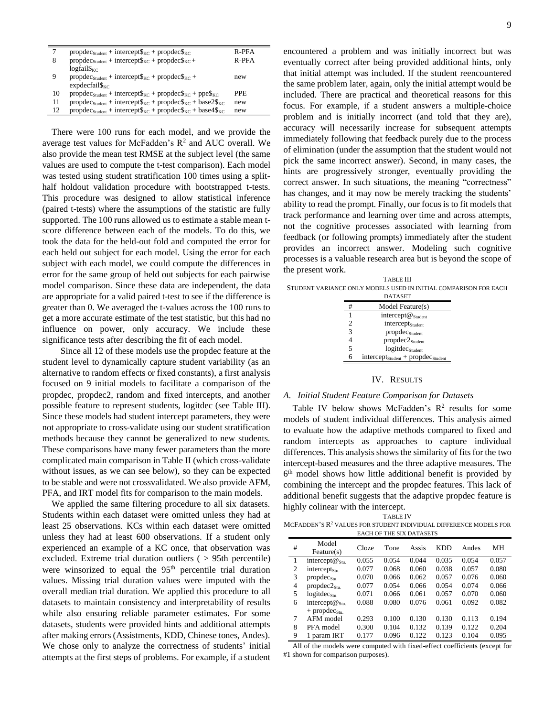|    | $propdecStudent + interceptgKC + propdecgKC$                                                  | R-PFA |
|----|-----------------------------------------------------------------------------------------------|-------|
| 8  | $propdecStudent + intercept6KC + propdec6KC +$                                                | R-PFA |
|    | $logfail\$ <sub>KC</sub>                                                                      |       |
|    | $propdecStudent + interceptgKC + propdecgKC +$                                                | new   |
|    | $expdecfail\$ <sub>KC</sub>                                                                   |       |
| 10 | $propdecStudent + interceptgKC + propdecgKC + ppegKC$                                         | PPE.  |
| 11 | $propdecStudent + interceptgKC + propdecgKC + base2gKC$                                       | new   |
| 12 | $propdecStudent + intercept\$ <sub>KC</sub> + $propdec$ <sub>KC</sub> + $base4$ <sub>KC</sub> | new   |

There were 100 runs for each model, and we provide the average test values for McFadden's  $R^2$  and AUC overall. We also provide the mean test RMSE at the subject level (the same values are used to compute the t-test comparison). Each model was tested using student stratification 100 times using a splithalf holdout validation procedure with bootstrapped t-tests. This procedure was designed to allow statistical inference (paired t-tests) where the assumptions of the statistic are fully supported. The 100 runs allowed us to estimate a stable mean tscore difference between each of the models. To do this, we took the data for the held-out fold and computed the error for each held out subject for each model. Using the error for each subject with each model, we could compute the differences in error for the same group of held out subjects for each pairwise model comparison. Since these data are independent, the data are appropriate for a valid paired t-test to see if the difference is greater than 0. We averaged the t-values across the 100 runs to get a more accurate estimate of the test statistic, but this had no influence on power, only accuracy. We include these significance tests after describing the fit of each model.

Since all 12 of these models use the propdec feature at the student level to dynamically capture student variability (as an alternative to random effects or fixed constants), a first analysis focused on 9 initial models to facilitate a comparison of the propdec, propdec2, random and fixed intercepts, and another possible feature to represent students, logitdec (see [Table III\)](#page-8-1). Since these models had student intercept parameters, they were not appropriate to cross-validate using our student stratification methods because they cannot be generalized to new students. These comparisons have many fewer parameters than the more complicated main comparison i[n Table II](#page-7-0) (which cross-validate without issues, as we can see below), so they can be expected to be stable and were not crossvalidated. We also provide AFM, PFA, and IRT model fits for comparison to the main models.

We applied the same filtering procedure to all six datasets. Students within each dataset were omitted unless they had at least 25 observations. KCs within each dataset were omitted unless they had at least 600 observations. If a student only experienced an example of a KC once, that observation was excluded. Extreme trial duration outliers ( > 95th percentile) were winsorized to equal the  $95<sup>th</sup>$  percentile trial duration values. Missing trial duration values were imputed with the overall median trial duration. We applied this procedure to all datasets to maintain consistency and interpretability of results while also ensuring reliable parameter estimates. For some datasets, students were provided hints and additional attempts after making errors (Assistments, KDD, Chinese tones, Andes). We chose only to analyze the correctness of students' initial attempts at the first steps of problems. For example, if a student

encountered a problem and was initially incorrect but was eventually correct after being provided additional hints, only that initial attempt was included. If the student reencountered the same problem later, again, only the initial attempt would be included. There are practical and theoretical reasons for this focus. For example, if a student answers a multiple-choice problem and is initially incorrect (and told that they are), accuracy will necessarily increase for subsequent attempts immediately following that feedback purely due to the process of elimination (under the assumption that the student would not pick the same incorrect answer). Second, in many cases, the hints are progressively stronger, eventually providing the correct answer. In such situations, the meaning "correctness" has changes, and it may now be merely tracking the students' ability to read the prompt. Finally, our focusis to fit models that track performance and learning over time and across attempts, not the cognitive processes associated with learning from feedback (or following prompts) immediately after the student provides an incorrect answer. Modeling such cognitive processes is a valuable research area but is beyond the scope of the present work.

<span id="page-8-1"></span>TABLE III STUDENT VARIANCE ONLY MODELS USED IN INITIAL COMPARISON FOR EACH

| DATASET |                                           |  |  |
|---------|-------------------------------------------|--|--|
| #       | Model Feature(s)                          |  |  |
| 1       | intercept@student                         |  |  |
| 2       | intercept <sub>Student</sub>              |  |  |
| 3       | propdec <sub>Student</sub>                |  |  |
|         | $propdec2_{Student}$                      |  |  |
| 5       | logitdec <sub>Student</sub>               |  |  |
| 6       | $intercept_{Student} + propdec_{Student}$ |  |  |

## IV. RESULTS

## *A. Initial Student Feature Comparison for Datasets*

[Table IV](#page-8-0) below shows McFadden's  $R^2$  results for some models of student individual differences. This analysis aimed to evaluate how the adaptive methods compared to fixed and random intercepts as approaches to capture individual differences. This analysis shows the similarity of fits for the two intercept-based measures and the three adaptive measures. The 6 th model shows how little additional benefit is provided by combining the intercept and the propdec features. This lack of additional benefit suggests that the adaptive propdec feature is highly colinear with the intercept.

<span id="page-8-0"></span>

| <b>TABLE IV</b>                                                      |
|----------------------------------------------------------------------|
| MCFADDEN'S $R^2$ values for student individual difference models for |
| <b>EACH OF THE SIX DATASETS</b>                                      |

| #              | Model<br>Feature(s)               | Cloze | Tone  | Assis | <b>KDD</b> | Andes | MН    |
|----------------|-----------------------------------|-------|-------|-------|------------|-------|-------|
| 1              | intercept $\omega_{\text{stu}}$ . | 0.055 | 0.054 | 0.044 | 0.035      | 0.054 | 0.057 |
| $\overline{c}$ | intercept $_{\text{Stu}}$         | 0.077 | 0.068 | 0.060 | 0.038      | 0.057 | 0.080 |
| 3              | propdec <sub>stu</sub>            | 0.070 | 0.066 | 0.062 | 0.057      | 0.076 | 0.060 |
| 4              | $propdec2_{\text{stu}}$           | 0.077 | 0.054 | 0.066 | 0.054      | 0.074 | 0.066 |
| 5              | logitdec <sub>stu</sub>           | 0.071 | 0.066 | 0.061 | 0.057      | 0.070 | 0.060 |
| 6              | intercept $\omega_{\rm Stu}$      | 0.088 | 0.080 | 0.076 | 0.061      | 0.092 | 0.082 |
|                | $+$ propdec <sub>Stu.</sub>       |       |       |       |            |       |       |
| 7              | AFM model                         | 0.293 | 0.100 | 0.130 | 0.130      | 0.113 | 0.194 |
| 8              | PFA model                         | 0.300 | 0.104 | 0.132 | 0.139      | 0.122 | 0.204 |
| 9              | 1 param IRT                       | 0.177 | 0.096 | 0.122 | 0.123      | 0.104 | 0.095 |

All of the models were computed with fixed-effect coefficients (except for #1 shown for comparison purposes).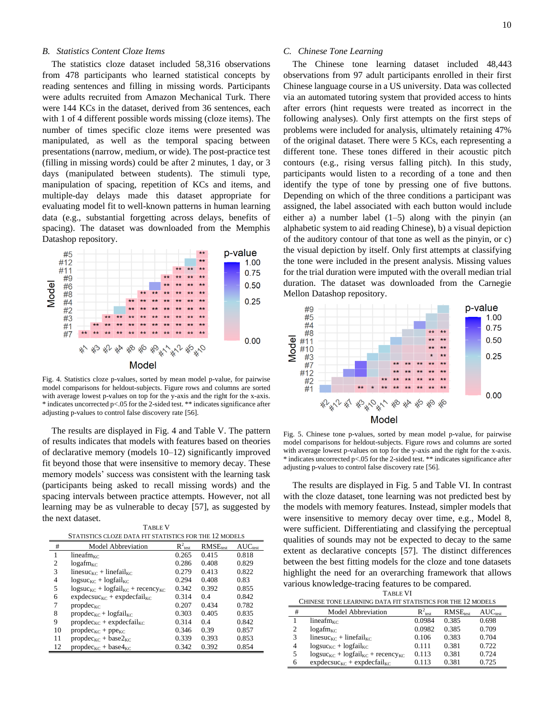#### *B. Statistics Content Cloze Items*

The statistics cloze dataset included 58,316 observations from 478 participants who learned statistical concepts by reading sentences and filling in missing words. Participants were adults recruited from Amazon Mechanical Turk. There were 144 KCs in the dataset, derived from 36 sentences, each with 1 of 4 different possible words missing (cloze items). The number of times specific cloze items were presented was manipulated, as well as the temporal spacing between presentations (narrow, medium, or wide). The post-practice test (filling in missing words) could be after 2 minutes, 1 day, or 3 days (manipulated between students). The stimuli type, manipulation of spacing, repetition of KCs and items, and multiple-day delays made this dataset appropriate for evaluating model fit to well-known patterns in human learning data (e.g., substantial forgetting across delays, benefits of spacing). The dataset was downloaded from the Memphis Datashop repository.



Fig. 4. Statistics cloze p-values, sorted by mean model p-value, for pairwise model comparisons for heldout-subjects. Figure rows and columns are sorted with average lowest p-values on top for the y-axis and the right for the x-axis. \* indicates uncorrected p<.05 for the 2-sided test. \*\* indicates significance after adjusting p-values to control false discovery rate [56].

The results are displayed in Fig. 4 an[d Table V.](#page-9-0) The pattern of results indicates that models with features based on theories of declarative memory (models 10–12) significantly improved fit beyond those that were insensitive to memory decay. These memory models' success was consistent with the learning task (participants being asked to recall missing words) and the spacing intervals between practice attempts. However, not all learning may be as vulnerable to decay [57], as suggested by the next dataset.

TABLE V

<span id="page-9-0"></span>

|                | LA DLEV                                                |                      |                      |                     |  |
|----------------|--------------------------------------------------------|----------------------|----------------------|---------------------|--|
|                | STATISTICS CLOZE DATA FIT STATISTICS FOR THE 12 MODELS |                      |                      |                     |  |
| #              | <b>Model Abbreviation</b>                              | $R^2_{\text{ test}}$ | RMSE <sub>test</sub> | AUC <sub>test</sub> |  |
| 1              | linear <sub>F</sub>                                    | 0.265                | 0.415                | 0.818               |  |
| $\overline{c}$ | $log_{a}f_{m_{\rm KC}}$                                | 0.286                | 0.408                | 0.829               |  |
| 3              | linesuc <sub>KC</sub> + linefail <sub>KC</sub>         | 0.279                | 0.413                | 0.822               |  |
| 4              | $logsucc_{KC} + logfail_{KC}$                          | 0.294                | 0.408                | 0.83                |  |
| 5              | $logsucc_{KC} + logfail_{KC} + recency_{KC}$           | 0.342                | 0.392                | 0.855               |  |
| 6              | $expdecsc_{\text{KC}} + expdecfail_{\text{KC}}$        | 0.314                | 0.4                  | 0.842               |  |
| 7              | $propdec_{KC}$                                         | 0.207                | 0.434                | 0.782               |  |
| 8              | $propdec_{KC} + logfail_{KC}$                          | 0.303                | 0.405                | 0.835               |  |
| 9              | $propdec_{KC} + expdecfail_{KC}$                       | 0.314                | 0.4                  | 0.842               |  |
| 10             | $propdec_{KC} + ppe_{KC}$                              | 0.346                | 0.39                 | 0.857               |  |
| 11             | $propdec_{KC} + base2_{KC}$                            | 0.339                | 0.393                | 0.853               |  |
| 12             | $propdec_{KC} + base4_{KC}$                            | 0.342                | 0.392                | 0.854               |  |

#### *C. Chinese Tone Learning*

The Chinese tone learning dataset included 48,443 observations from 97 adult participants enrolled in their first Chinese language course in a US university. Data was collected via an automated tutoring system that provided access to hints after errors (hint requests were treated as incorrect in the following analyses). Only first attempts on the first steps of problems were included for analysis, ultimately retaining 47% of the original dataset. There were 5 KCs, each representing a different tone. These tones differed in their acoustic pitch contours (e.g., rising versus falling pitch). In this study, participants would listen to a recording of a tone and then identify the type of tone by pressing one of five buttons. Depending on which of the three conditions a participant was assigned, the label associated with each button would include either a) a number label  $(1-5)$  along with the pinyin (an alphabetic system to aid reading Chinese), b) a visual depiction of the auditory contour of that tone as well as the pinyin, or c) the visual depiction by itself. Only first attempts at classifying the tone were included in the present analysis. Missing values for the trial duration were imputed with the overall median trial duration. The dataset was downloaded from the Carnegie Mellon Datashop repository.



Fig. 5. Chinese tone p-values, sorted by mean model p-value, for pairwise model comparisons for heldout-subjects. Figure rows and columns are sorted with average lowest p-values on top for the y-axis and the right for the x-axis. \* indicates uncorrected p<.05 for the 2-sided test. \*\* indicates significance after adjusting p-values to control false discovery rate [56].

The results are displayed in Fig. 5 and [Table VI.](#page-9-1) In contrast with the cloze dataset, tone learning was not predicted best by the models with memory features. Instead, simpler models that were insensitive to memory decay over time, e.g., Model 8, were sufficient. Differentiating and classifying the perceptual qualities of sounds may not be expected to decay to the same extent as declarative concepts [57]. The distinct differences between the best fitting models for the cloze and tone datasets highlight the need for an overarching framework that allows various knowledge-tracing features to be compared.

TABLE VI CHINESE TONE LEARNING DATA FIT STATISTICS FOR THE 12 MODELS

<span id="page-9-1"></span>

|   | CHINESE TONE LEANNING DATA FIT STATISTICS FON THE 12 MODELS |                     |                      |              |  |
|---|-------------------------------------------------------------|---------------------|----------------------|--------------|--|
| # | <b>Model Abbreviation</b>                                   | $R^2_{\text{test}}$ | RMSE <sub>test</sub> | $AUC_{test}$ |  |
|   | lineafm $_{\rm KC}$                                         | 0.0984              | 0.385                | 0.698        |  |
| 2 | $log_{a}f_{m_{\rm KC}}$                                     | 0.0982              | 0.385                | 0.709        |  |
| 3 | linesuc <sub>KC</sub> + linefail <sub>KC</sub>              | 0.106               | 0.383                | 0.704        |  |
| 4 | $logsucc_{\text{KC}} + logfail_{\text{KC}}$                 | 0.111               | 0.381                | 0.722        |  |
| 5 | $logsucc_{KC} + logfail_{KC} + recency_{KC}$                | 0.113               | 0.381                | 0.724        |  |
| 6 | $expdecsc_{\text{KC}} + expdecfail_{\text{KC}}$             | 0.113               | 0.381                | 0.725        |  |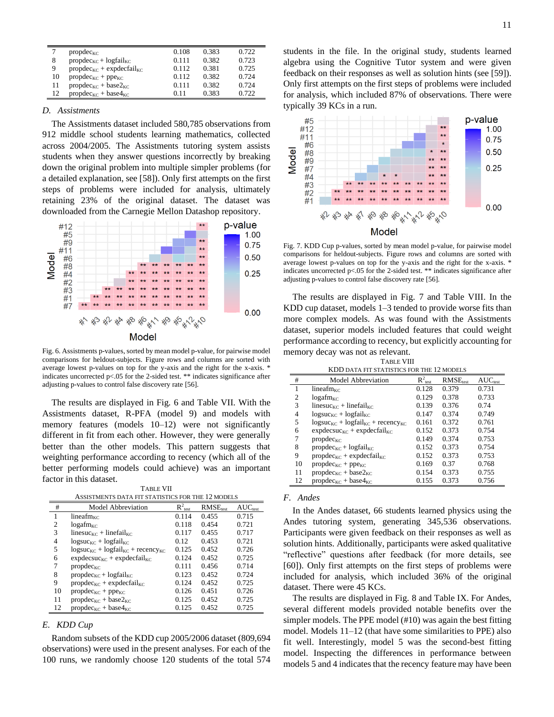|    | $propdec_{KC}$                            | 0.108 | 0.383 | 0.722 |
|----|-------------------------------------------|-------|-------|-------|
| 8  | $propdec_{KC} + logfail_{KC}$             | 0.111 | 0.382 | 0.723 |
| 9  | $propdec_{KC} + expdecfail_{KC}$          | 0.112 | 0.381 | 0.725 |
| 10 | $propdec_{KC} + ppe_{KC}$                 | 0.112 | 0.382 | 0.724 |
| 11 | $propdec_{KC} + base2_{KC}$               | 0.111 | 0.382 | 0.724 |
| 12 | $propdec_{\text{KC}} + base4_{\text{KC}}$ | 0.11  | 0.383 | 0.722 |

## *D. Assistments*

The Assistments dataset included 580,785 observations from 912 middle school students learning mathematics, collected across 2004/2005. The Assistments tutoring system assists students when they answer questions incorrectly by breaking down the original problem into multiple simpler problems (for a detailed explanation, see [58]). Only first attempts on the first steps of problems were included for analysis, ultimately retaining 23% of the original dataset. The dataset was downloaded from the Carnegie Mellon Datashop repository.



Fig. 6. Assistments p-values, sorted by mean model p-value, for pairwise model comparisons for heldout-subjects. Figure rows and columns are sorted with average lowest p-values on top for the y-axis and the right for the x-axis. \* indicates uncorrected p<.05 for the 2-sided test. \*\* indicates significance after adjusting p-values to control false discovery rate [56].

The results are displayed in Fig. 6 and [Table VII.](#page-10-0) With the Assistments dataset, R-PFA (model 9) and models with memory features (models 10–12) were not significantly different in fit from each other. However, they were generally better than the other models. This pattern suggests that weighting performance according to recency (which all of the better performing models could achieve) was an important factor in this dataset.

| TABLE VII                                         |  |
|---------------------------------------------------|--|
| ASSISTMENTS DATA FIT STATISTICS FOR THE 12 MODELS |  |

<span id="page-10-0"></span>

| #  | <b>Model Abbreviation</b>                      | $R^2_{\text{test}}$ | RMSE <sub>test</sub> | $AUC_{test}$ |  |
|----|------------------------------------------------|---------------------|----------------------|--------------|--|
|    | lineafm $_{\rm KC}$                            | 0.114               | 0.455                | 0.715        |  |
| 2  | $log_{a}f_{m_{\rm KC}}$                        | 0.118               | 0.454                | 0.721        |  |
| 3  | linesuc <sub>KC</sub> + linefail <sub>KC</sub> | 0.117               | 0.455                | 0.717        |  |
| 4  | $logsucc_{KC} + logfail_{KC}$                  | 0.12                | 0.453                | 0.721        |  |
| 5  | $logsucc_{KC} + logfail_{KC} + recency_{KC}$   | 0.125               | 0.452                | 0.726        |  |
| 6  | $expdecsc_{KC} + expdecfail_{KC}$              | 0.124               | 0.452                | 0.725        |  |
| 7  | $propdec_{KC}$                                 | 0.111               | 0.456                | 0.714        |  |
| 8  | $propdec_{KC} + logfail_{KC}$                  | 0.123               | 0.452                | 0.724        |  |
| 9  | $propdec_{KC} + expdecfail_{KC}$               | 0.124               | 0.452                | 0.725        |  |
| 10 | $propdec_{KC} + ppe_{KC}$                      | 0.126               | 0.451                | 0.726        |  |
| 11 | $propdec_{KC} + base2_{KC}$                    | 0.125               | 0.452                | 0.725        |  |
| 12 | $propdec_{KC} + base4_{KC}$                    | 0.125               | 0.452                | 0.725        |  |

## *E. KDD Cup*

Random subsets of the KDD cup 2005/2006 dataset (809,694 observations) were used in the present analyses. For each of the 100 runs, we randomly choose 120 students of the total 574 students in the file. In the original study, students learned algebra using the Cognitive Tutor system and were given feedback on their responses as well as solution hints (see [59]). Only first attempts on the first steps of problems were included for analysis, which included 87% of observations. There were typically 39 KCs in a run.



Fig. 7. KDD Cup p-values, sorted by mean model p-value, for pairwise model comparisons for heldout-subjects. Figure rows and columns are sorted with average lowest p-values on top for the y-axis and the right for the x-axis. \* indicates uncorrected  $p$ <.05 for the 2-sided test. \*\* indicates significance after adjusting p-values to control false discovery rate [56].

The results are displayed in Fig. 7 and [Table VIII.](#page-10-1) In the KDD cup dataset, models 1–3 tended to provide worse fits than more complex models. As was found with the Assistments dataset, superior models included features that could weight performance according to recency, but explicitly accounting for memory decay was not as relevant. TABLE VIII

<span id="page-10-1"></span>

| KDD DATA FIT STATISTICS FOR THE 12 MODELS |                                                |                      |                      |              |
|-------------------------------------------|------------------------------------------------|----------------------|----------------------|--------------|
| #                                         | <b>Model Abbreviation</b>                      | $R^2_{\text{ test}}$ | RMSE <sub>test</sub> | $AUC_{test}$ |
| 1                                         | lineafm $_{\rm KC}$                            | 0.128                | 0.379                | 0.731        |
| $\overline{c}$                            | $log_{a}f_{m_{\rm KC}}$                        | 0.129                | 0.378                | 0.733        |
| 3                                         | linesuc <sub>KC</sub> + linefail <sub>KC</sub> | 0.139                | 0.376                | 0.74         |
| 4                                         | $logsucc_{KC} + logfail_{KC}$                  | 0.147                | 0.374                | 0.749        |
| 5                                         | $logsucc_{KC} + logfail_{KC} + recency_{KC}$   | 0.161                | 0.372                | 0.761        |
| 6                                         | $expdecsc_{KC} + expdecfail_{KC}$              | 0.152                | 0.373                | 0.754        |
| 7                                         | $propdec_{KC}$                                 | 0.149                | 0.374                | 0.753        |
| 8                                         | $propdec_{KC} + logfail_{KC}$                  | 0.152                | 0.373                | 0.754        |
| 9                                         | $propdec_{KC} + expdecfail_{KC}$               | 0.152                | 0.373                | 0.753        |
| 10                                        | $propdec_{KC} + ppe_{KC}$                      | 0.169                | 0.37                 | 0.768        |
| 11                                        | $propdec_{KC} + base2_{KC}$                    | 0.154                | 0.373                | 0.755        |
| 12                                        | propdec <sub>KC</sub> + base4 <sub>KC</sub>    | 0.155                | 0.373                | 0.756        |

#### *F. Andes*

In the Andes dataset, 66 students learned physics using the Andes tutoring system, generating 345,536 observations. Participants were given feedback on their responses as well as solution hints. Additionally, participants were asked qualitative "reflective" questions after feedback (for more details, see [60]). Only first attempts on the first steps of problems were included for analysis, which included 36% of the original dataset. There were 45 KCs.

The results are displayed in Fig. 8 an[d Table IX.](#page-11-0) For Andes, several different models provided notable benefits over the simpler models. The PPE model (#10) was again the best fitting model. Models 11–12 (that have some similarities to PPE) also fit well. Interestingly, model 5 was the second-best fitting model. Inspecting the differences in performance between models 5 and 4 indicates that the recency feature may have been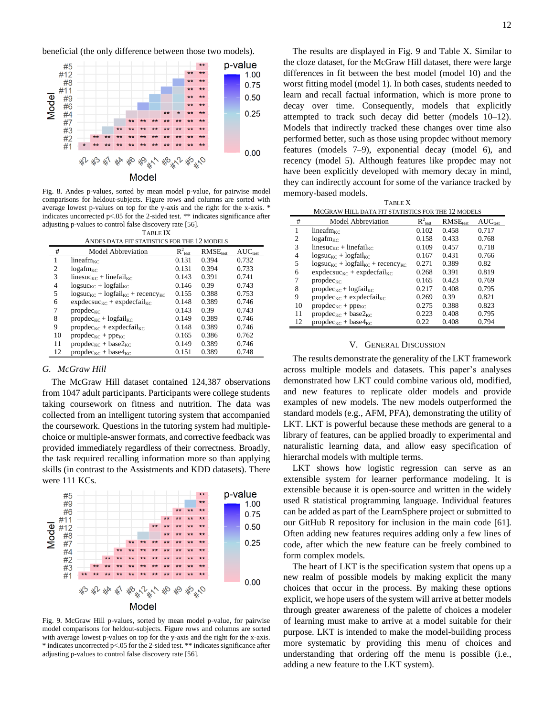beneficial (the only difference between those two models).



Fig. 8. Andes p-values, sorted by mean model p-value, for pairwise model comparisons for heldout-subjects. Figure rows and columns are sorted with average lowest p-values on top for the y-axis and the right for the x-axis. \* indicates uncorrected p<.05 for the 2-sided test. \*\* indicates significance after adjusting p-values to control false discovery rate [56]. TABLE IX

| TABLE IA |  |
|----------|--|
|          |  |

<span id="page-11-0"></span>

| ANDES DATA FIT STATISTICS FOR THE 12 MODELS |                                                |                      |                      |              |
|---------------------------------------------|------------------------------------------------|----------------------|----------------------|--------------|
| #                                           | <b>Model Abbreviation</b>                      | $R^2_{\text{ test}}$ | RMSE <sub>test</sub> | $AUC_{test}$ |
| 1                                           | lineafm <sub><math>\kappa</math>c</sub>        | 0.131                | 0.394                | 0.732        |
| $\mathfrak{D}$                              | $log_{a}f_{m_{K}c}$                            | 0.131                | 0.394                | 0.733        |
| 3                                           | linesuc <sub>KC</sub> + linefail <sub>KC</sub> | 0.143                | 0.391                | 0.741        |
| 4                                           | $logsucc_{KC} + logfail_{KC}$                  | 0.146                | 0.39                 | 0.743        |
| 5                                           | $logsucc_{KC} + logfail_{KC} + recency_{KC}$   | 0.155                | 0.388                | 0.753        |
| 6                                           | $expdecsc_{KC} + expdecfail_{KC}$              | 0.148                | 0.389                | 0.746        |
| 7                                           | $propdec_{KC}$                                 | 0.143                | 0.39                 | 0.743        |
| 8                                           | $propdec_{KC} + logfail_{KC}$                  | 0.149                | 0.389                | 0.746        |
| 9                                           | $propdec_{KC} + expdecfail_{KC}$               | 0.148                | 0.389                | 0.746        |
| 10                                          | $propdec_{KC} + ppe_{KC}$                      | 0.165                | 0.386                | 0.762        |
| 11                                          | $propdec_{KC} + base2_{KC}$                    | 0.149                | 0.389                | 0.746        |
| 12                                          | propdec <sub>KC</sub> + base4 <sub>KC</sub>    | 0.151                | 0.389                | 0.748        |

#### *G. McGraw Hill*

The McGraw Hill dataset contained 124,387 observations from 1047 adult participants. Participants were college students taking coursework on fitness and nutrition. The data was collected from an intelligent tutoring system that accompanied the coursework. Questions in the tutoring system had multiplechoice or multiple-answer formats, and corrective feedback was provided immediately regardless of their correctness. Broadly, the task required recalling information more so than applying skills (in contrast to the Assistments and KDD datasets). There were 111 KCs.



Fig. 9. McGraw Hill p-values, sorted by mean model p-value, for pairwise model comparisons for heldout-subjects. Figure rows and columns are sorted with average lowest p-values on top for the y-axis and the right for the x-axis. \* indicates uncorrected p<.05 for the 2-sided test. \*\* indicates significance after adjusting p-values to control false discovery rate [56].

The results are displayed in Fig. 9 and [Table X.](#page-11-1) Similar to the cloze dataset, for the McGraw Hill dataset, there were large differences in fit between the best model (model 10) and the worst fitting model (model 1). In both cases, students needed to learn and recall factual information, which is more prone to decay over time. Consequently, models that explicitly attempted to track such decay did better (models 10–12). Models that indirectly tracked these changes over time also performed better, such as those using propdec without memory features (models 7–9), exponential decay (model 6), and recency (model 5). Although features like propdec may not have been explicitly developed with memory decay in mind, they can indirectly account for some of the variance tracked by memory-based models.

<span id="page-11-1"></span>

| <b>TABLE X</b>                                    |                                                |                      |                      |              |  |
|---------------------------------------------------|------------------------------------------------|----------------------|----------------------|--------------|--|
| MCGRAW HILL DATA FIT STATISTICS FOR THE 12 MODELS |                                                |                      |                      |              |  |
| #                                                 | <b>Model Abbreviation</b>                      | $R^2_{\text{ test}}$ | RMSE <sub>test</sub> | $AUC_{test}$ |  |
| 1                                                 | lineafm <sub><math>\kappa</math>c</sub>        | 0.102                | 0.458                | 0.717        |  |
| $\overline{c}$                                    | $log_{a}f_{m_{\rm KC}}$                        | 0.158                | 0.433                | 0.768        |  |
| 3                                                 | linesuc <sub>KC</sub> + linefail <sub>KC</sub> | 0.109                | 0.457                | 0.718        |  |
| 4                                                 | $logsucc_{KC} + logfail_{KC}$                  | 0.167                | 0.431                | 0.766        |  |
| 5                                                 | $logsucc_{KC} + logfail_{KC} + recency_{KC}$   | 0.271                | 0.389                | 0.82         |  |
| 6                                                 | $expdecsc_{KC} + expdecfail_{KC}$              | 0.268                | 0.391                | 0.819        |  |
| 7                                                 | $propdec_{KC}$                                 | 0.165                | 0.423                | 0.769        |  |
| 8                                                 | $propdec_{KC} + logfail_{KC}$                  | 0.217                | 0.408                | 0.795        |  |
| 9                                                 | $propdec_{KC} + expdecfail_{KC}$               | 0.269                | 0.39                 | 0.821        |  |
| 10                                                | $propdec_{KC} + ppe_{KC}$                      | 0.275                | 0.388                | 0.823        |  |
| 11                                                | $propdec_{KC} + base2_{KC}$                    | 0.223                | 0.408                | 0.795        |  |
| 12                                                | $propdec_{KC} + base4_{KC}$                    | 0.22                 | 0.408                | 0.794        |  |

#### V. GENERAL DISCUSSION

The results demonstrate the generality of the LKT framework across multiple models and datasets. This paper's analyses demonstrated how LKT could combine various old, modified, and new features to replicate older models and provide examples of new models. The new models outperformed the standard models (e.g., AFM, PFA), demonstrating the utility of LKT. LKT is powerful because these methods are general to a library of features, can be applied broadly to experimental and naturalistic learning data, and allow easy specification of hierarchal models with multiple terms.

LKT shows how logistic regression can serve as an extensible system for learner performance modeling. It is extensible because it is open-source and written in the widely used R statistical programming language. Individual features can be added as part of the LearnSphere project or submitted to our GitHub R repository for inclusion in the main code [61]. Often adding new features requires adding only a few lines of code, after which the new feature can be freely combined to form complex models.

The heart of LKT is the specification system that opens up a new realm of possible models by making explicit the many choices that occur in the process. By making these options explicit, we hope users of the system will arrive at better models through greater awareness of the palette of choices a modeler of learning must make to arrive at a model suitable for their purpose. LKT is intended to make the model-building process more systematic by providing this menu of choices and understanding that ordering off the menu is possible (i.e., adding a new feature to the LKT system).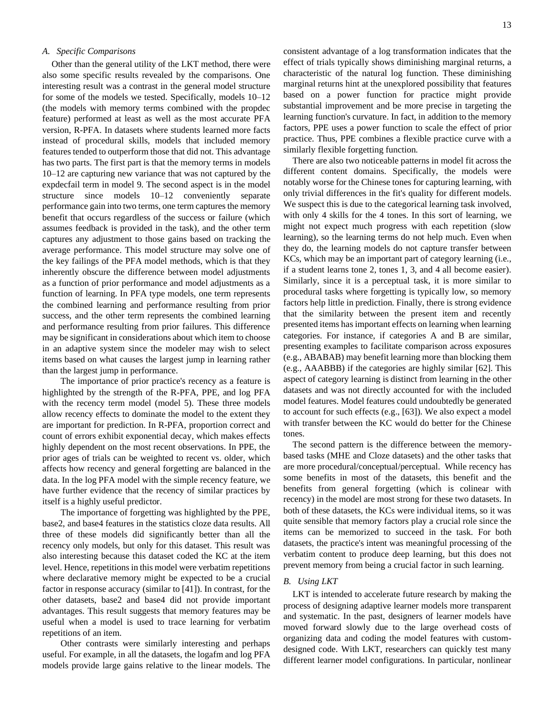#### *A. Specific Comparisons*

Other than the general utility of the LKT method, there were also some specific results revealed by the comparisons. One interesting result was a contrast in the general model structure for some of the models we tested. Specifically, models 10–12 (the models with memory terms combined with the propdec feature) performed at least as well as the most accurate PFA version, R-PFA. In datasets where students learned more facts instead of procedural skills, models that included memory features tended to outperform those that did not. This advantage has two parts. The first part is that the memory terms in models 10–12 are capturing new variance that was not captured by the expdecfail term in model 9. The second aspect is in the model structure since models 10–12 conveniently separate performance gain into two terms, one term captures the memory benefit that occurs regardless of the success or failure (which assumes feedback is provided in the task), and the other term captures any adjustment to those gains based on tracking the average performance. This model structure may solve one of the key failings of the PFA model methods, which is that they inherently obscure the difference between model adjustments as a function of prior performance and model adjustments as a function of learning. In PFA type models, one term represents the combined learning and performance resulting from prior success, and the other term represents the combined learning and performance resulting from prior failures. This difference may be significant in considerations about which item to choose in an adaptive system since the modeler may wish to select items based on what causes the largest jump in learning rather than the largest jump in performance.

The importance of prior practice's recency as a feature is highlighted by the strength of the R-PFA, PPE, and log PFA with the recency term model (model 5). These three models allow recency effects to dominate the model to the extent they are important for prediction. In R-PFA, proportion correct and count of errors exhibit exponential decay, which makes effects highly dependent on the most recent observations. In PPE, the prior ages of trials can be weighted to recent vs. older, which affects how recency and general forgetting are balanced in the data. In the log PFA model with the simple recency feature, we have further evidence that the recency of similar practices by itself is a highly useful predictor.

The importance of forgetting was highlighted by the PPE, base2, and base4 features in the statistics cloze data results. All three of these models did significantly better than all the recency only models, but only for this dataset. This result was also interesting because this dataset coded the KC at the item level. Hence, repetitions in this model were verbatim repetitions where declarative memory might be expected to be a crucial factor in response accuracy (similar to [41]). In contrast, for the other datasets, base2 and base4 did not provide important advantages. This result suggests that memory features may be useful when a model is used to trace learning for verbatim repetitions of an item.

Other contrasts were similarly interesting and perhaps useful. For example, in all the datasets, the logafm and log PFA models provide large gains relative to the linear models. The consistent advantage of a log transformation indicates that the effect of trials typically shows diminishing marginal returns, a characteristic of the natural log function. These diminishing marginal returns hint at the unexplored possibility that features based on a power function for practice might provide substantial improvement and be more precise in targeting the learning function's curvature. In fact, in addition to the memory factors, PPE uses a power function to scale the effect of prior practice. Thus, PPE combines a flexible practice curve with a similarly flexible forgetting function.

There are also two noticeable patterns in model fit across the different content domains. Specifically, the models were notably worse for the Chinese tones for capturing learning, with only trivial differences in the fit's quality for different models. We suspect this is due to the categorical learning task involved, with only 4 skills for the 4 tones. In this sort of learning, we might not expect much progress with each repetition (slow learning), so the learning terms do not help much. Even when they do, the learning models do not capture transfer between KCs, which may be an important part of category learning (i.e., if a student learns tone 2, tones 1, 3, and 4 all become easier). Similarly, since it is a perceptual task, it is more similar to procedural tasks where forgetting is typically low, so memory factors help little in prediction. Finally, there is strong evidence that the similarity between the present item and recently presented items has important effects on learning when learning categories. For instance, if categories A and B are similar, presenting examples to facilitate comparison across exposures (e.g., ABABAB) may benefit learning more than blocking them (e.g., AAABBB) if the categories are highly similar [62]. This aspect of category learning is distinct from learning in the other datasets and was not directly accounted for with the included model features. Model features could undoubtedly be generated to account for such effects (e.g., [63]). We also expect a model with transfer between the KC would do better for the Chinese tones.

The second pattern is the difference between the memorybased tasks (MHE and Cloze datasets) and the other tasks that are more procedural/conceptual/perceptual. While recency has some benefits in most of the datasets, this benefit and the benefits from general forgetting (which is colinear with recency) in the model are most strong for these two datasets. In both of these datasets, the KCs were individual items, so it was quite sensible that memory factors play a crucial role since the items can be memorized to succeed in the task. For both datasets, the practice's intent was meaningful processing of the verbatim content to produce deep learning, but this does not prevent memory from being a crucial factor in such learning.

## *B. Using LKT*

LKT is intended to accelerate future research by making the process of designing adaptive learner models more transparent and systematic. In the past, designers of learner models have moved forward slowly due to the large overhead costs of organizing data and coding the model features with customdesigned code. With LKT, researchers can quickly test many different learner model configurations. In particular, nonlinear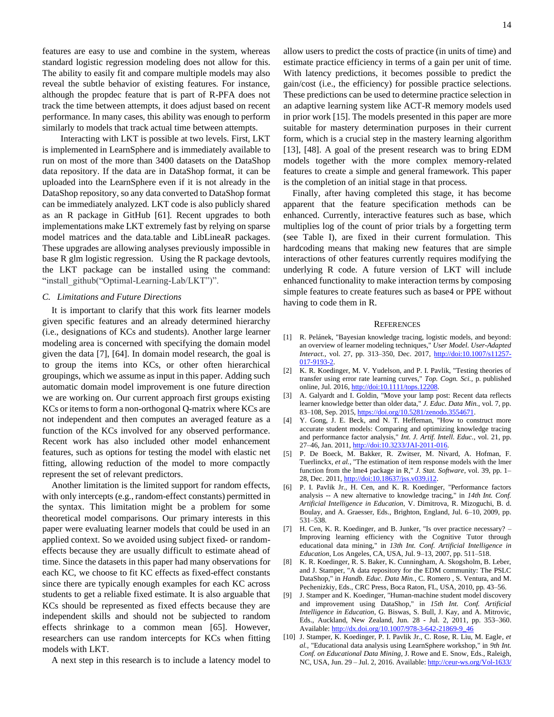features are easy to use and combine in the system, whereas standard logistic regression modeling does not allow for this. The ability to easily fit and compare multiple models may also reveal the subtle behavior of existing features. For instance, although the propdec feature that is part of R-PFA does not track the time between attempts, it does adjust based on recent performance. In many cases, this ability was enough to perform similarly to models that track actual time between attempts.

Interacting with LKT is possible at two levels. First, LKT is implemented in LearnSphere and is immediately available to run on most of the more than 3400 datasets on the DataShop data repository. If the data are in DataShop format, it can be uploaded into the LearnSphere even if it is not already in the DataShop repository, so any data converted to DataShop format can be immediately analyzed. LKT code is also publicly shared as an R package in GitHub [61]. Recent upgrades to both implementations make LKT extremely fast by relying on sparse model matrices and the data.table and LibLineaR packages. These upgrades are allowing analyses previously impossible in base R glm logistic regression. Using the R package devtools, the LKT package can be installed using the command: "install\_github("Optimal-Learning-Lab/LKT")".

# *C. Limitations and Future Directions*

It is important to clarify that this work fits learner models given specific features and an already determined hierarchy (i.e., designations of KCs and students). Another large learner modeling area is concerned with specifying the domain model given the data [7], [64]. In domain model research, the goal is to group the items into KCs, or other often hierarchical groupings, which we assume as input in this paper. Adding such automatic domain model improvement is one future direction we are working on. Our current approach first groups existing KCs or items to form a non-orthogonal Q-matrix where KCs are not independent and then computes an averaged feature as a function of the KCs involved for any observed performance. Recent work has also included other model enhancement features, such as options for testing the model with elastic net fitting, allowing reduction of the model to more compactly represent the set of relevant predictors.

Another limitation is the limited support for random effects, with only intercepts (e.g., random-effect constants) permitted in the syntax. This limitation might be a problem for some theoretical model comparisons. Our primary interests in this paper were evaluating learner models that could be used in an applied context. So we avoided using subject fixed- or randomeffects because they are usually difficult to estimate ahead of time. Since the datasets in this paper had many observations for each KC, we choose to fit KC effects as fixed-effect constants since there are typically enough examples for each KC across students to get a reliable fixed estimate. It is also arguable that KCs should be represented as fixed effects because they are independent skills and should not be subjected to random effects shrinkage to a common mean [65]. However, researchers can use random intercepts for KCs when fitting models with LKT.

A next step in this research is to include a latency model to

allow users to predict the costs of practice (in units of time) and estimate practice efficiency in terms of a gain per unit of time. With latency predictions, it becomes possible to predict the gain/cost (i.e., the efficiency) for possible practice selections. These predictions can be used to determine practice selection in an adaptive learning system like ACT-R memory models used in prior work [15]. The models presented in this paper are more suitable for mastery determination purposes in their current form, which is a crucial step in the mastery learning algorithm [13], [48]. A goal of the present research was to bring EDM models together with the more complex memory-related features to create a simple and general framework. This paper

Finally, after having completed this stage, it has become apparent that the feature specification methods can be enhanced. Currently, interactive features such as base, which multiplies log of the count of prior trials by a forgetting term (see [Table I\)](#page-4-0), are fixed in their current formulation. This hardcoding means that making new features that are simple interactions of other features currently requires modifying the underlying R code. A future version of LKT will include enhanced functionality to make interaction terms by composing simple features to create features such as base4 or PPE without having to code them in R.

is the completion of an initial stage in that process.

#### **REFERENCES**

- [1] R. Pelánek, "Bayesian knowledge tracing, logistic models, and beyond: an overview of learner modeling techniques," *User Model. User-Adapted Interact.,* vol. 27, pp. 313–350, Dec. 2017, [http://doi:10.1007/s11257-](http://doi:10.1007/s11257-017-9193-2) [017-9193-2.](http://doi:10.1007/s11257-017-9193-2)
- [2] K. R. Koedinger, M. V. Yudelson, and P. I. Pavlik, "Testing theories of transfer using error rate learning curves," *Top. Cogn. Sci.,* p. published online, Jul. 2016[, http://doi:10.1111/tops.12208.](http://doi:10.1111/tops.12208)
- [3] A. Galyardt and I. Goldin, "Move your lamp post: Recent data reflects learner knowledge better than older data," *J. Educ. Data Min.,* vol. 7, pp. 83–108, Sep. 2015[, https://doi.org/10.5281/zenodo.3554671.](https://doi.org/10.5281/zenodo.3554671)
- [4] Y. Gong, J. E. Beck, and N. T. Heffernan, "How to construct more accurate student models: Comparing and optimizing knowledge tracing and performance factor analysis," *Int. J. Artif. Intell. Educ.,* vol. 21, pp. 27-46, Jan. 2011[, http://doi:10.3233/JAI-2011-016.](http://doi:10.3233/JAI-2011-016)
- [5] P. De Boeck, M. Bakker, R. Zwitser, M. Nivard, A. Hofman, F. Tuerlinckx*, et al.*, "The estimation of item response models with the lmer function from the lme4 package in R," *J. Stat. Software,* vol. 39, pp. 1– 28, Dec. 2011[, http://doi:10.18637/jss.v039.i12.](http://doi:10.18637/jss.v039.i12)
- [6] P. I. Pavlik Jr., H. Cen, and K. R. Koedinger, "Performance factors analysis -- A new alternative to knowledge tracing," in *14th Int. Conf. Artificial Intelligence in Education*, V. Dimitrova, R. Mizoguchi, B. d. Boulay, and A. Graesser, Eds., Brighton, England, Jul. 6–10, 2009, pp. 531–538.
- [7] H. Cen, K. R. Koedinger, and B. Junker, "Is over practice necessary? Improving learning efficiency with the Cognitive Tutor through educational data mining," in *13th Int. Conf. Artificial Intelligence in Education*, Los Angeles, CA, USA, Jul. 9–13, 2007, pp. 511–518.
- [8] K. R. Koedinger, R. S. Baker, K. Cunningham, A. Skogsholm, B. Leber, and J. Stamper, "A data repository for the EDM community: The PSLC DataShop," in *Handb. Educ. Data Min.*, C. Romero , S. Ventura, and M. Pechenizkiy, Eds., CRC Press, Boca Raton, FL, USA, 2010, pp. 43–56.
- [9] J. Stamper and K. Koedinger, "Human-machine student model discovery and improvement using DataShop," in *15th Int. Conf. Artificial Intelligence in Education*, G. Biswas, S. Bull, J. Kay, and A. Mitrovic, Eds., Auckland, New Zealand, Jun. 28 - Jul. 2, 2011, pp. 353–360. Available[: http://dx.doi.org/10.1007/978-3-642-21869-9\\_46](http://dx.doi.org/10.1007/978-3-642-21869-9_46)
- [10] J. Stamper, K. Koedinger, P. I. Pavlik Jr., C. Rose, R. Liu, M. Eagle*, et al.*, "Educational data analysis using LearnSphere workshop," in *9th Int. Conf. on Educational Data Mining*, J. Rowe and E. Snow, Eds., Raleigh, NC, USA, Jun. 29 – Jul. 2, 2016. Available[: http://ceur-ws.org/Vol-1633/](http://ceur-ws.org/Vol-1633/)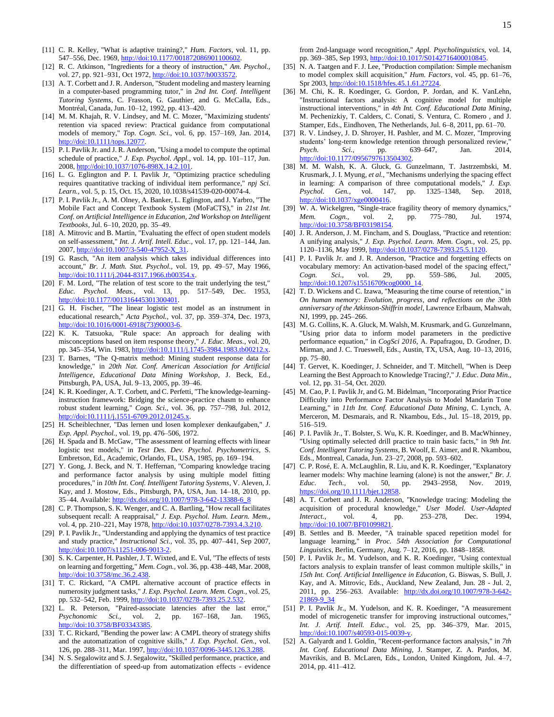- [11] C. R. Kelley, "What is adaptive training?," *Hum. Factors,* vol. 11, pp. 547–556, Dec. 1969, http://doi:10.1177/001872086901100602
- [12] R. C. Atkinson, "Ingredients for a theory of instruction," *Am. Psychol.,*  vol. 27, pp. 921-931, Oct 1972[, http://doi:10.1037/h0033572.](http://doi:10.1037/h0033572)
- [13] A. T. Corbett and J. R. Anderson, "Student modeling and mastery learning in a computer-based programming tutor," in *2nd Int. Conf. Intelligent Tutoring Systems*, C. Frasson, G. Gauthier, and G. McCalla, Eds., Montréal, Canada, Jun. 10–12, 1992, pp. 413–420.
- [14] M. M. Khajah, R. V. Lindsey, and M. C. Mozer, "Maximizing students' retention via spaced review: Practical guidance from computational models of memory," *Top. Cogn. Sci.,* vol. 6, pp. 157–169, Jan. 2014, [http://doi:10.1111/tops.12077.](http://doi:10.1111/tops.12077)
- [15] P. I. Pavlik Jr. and J. R. Anderson, "Using a model to compute the optimal schedule of practice," *J. Exp. Psychol. Appl.,* vol. 14, pp. 101–117, Jun. 2008, [http://doi:10.1037/1076-898X.14.2.101.](http://doi:10.1037/1076-898X.14.2.101)
- [16] L. G. Eglington and P. I. Pavlik Jr, "Optimizing practice scheduling requires quantitative tracking of individual item performance," *npj Sci. Learn.,* vol. 5, p. 15, Oct. 15, 2020, 10.1038/s41539-020-00074-4.
- [17] P. I. Pavlik Jr., A. M. Olney, A. Banker, L. Eglington, and J. Yarbro, "The Mobile Fact and Concept Textbook System (MoFaCTS)," in *21st Int. Conf. on Artificial Intelligence in Education, 2nd Workshop on Intelligent Textbooks*, Jul. 6–10, 2020, pp. 35–49.
- [18] A. Mitrovic and B. Martin, "Evaluating the effect of open student models on self-assessment," *Int. J. Artif. Intell. Educ.,* vol. 17, pp. 121–144, Jan. 2007, [http://doi:10.1007/3-540-47952-X\\_31.](http://doi:10.1007/3-540-47952-X_31)
- [19] G. Rasch, "An item analysis which takes individual differences into account," *Br. J. Math. Stat. Psychol.,* vol. 19, pp. 49–57, May 1966, [http://doi:10.1111/j.2044-8317.1966.tb00354.x.](http://doi:10.1111/j.2044-8317.1966.tb00354.x)
- [20] F. M. Lord, "The relation of test score to the trait underlying the test," *Educ. Psychol. Meas.,* vol. 13, pp. 517–549, Dec. 1953, [http://doi:10.1177/001316445301300401.](http://doi:10.1177/001316445301300401)
- [21] G. H. Fischer, "The linear logistic test model as an instrument in educational research," *Acta Psychol.,* vol. 37, pp. 359–374, Dec. 1973, [http://doi:10.1016/0001-6918\(73\)90003-6.](http://doi:10.1016/0001-6918(73)90003-6)
- [22] K. K. Tatsuoka, "Rule space: An approach for dealing with misconceptions based on item response theory," *J. Educ. Meas.,* vol. 20, pp. 345–354, Win. 1983[, http://doi:10.1111/j.1745-3984.1983.tb00212.x.](http://doi:10.1111/j.1745-3984.1983.tb00212.x)
- [23] T. Barnes, "The Q-matrix method: Mining student response data for knowledge," in *20th Nat. Conf. American Association for Artificial Intelligence, Educational Data Mining Workshop*, J. Beck, Ed., Pittsburgh, PA, USA, Jul. 9–13, 2005, pp. 39–46.
- [24] K. R. Koedinger, A. T. Corbett, and C. Perfetti, "The knowledge-learninginstruction framework: Bridging the science-practice chasm to enhance robust student learning," *Cogn. Sci.,* vol. 36, pp. 757–798, Jul. 2012, [http://doi:10.1111/j.1551-6709.2012.01245.x.](http://doi:10.1111/j.1551-6709.2012.01245.x)
- [25] H. Scheiblechner, "Das lernen und losen komplexer denkaufgaben," *J. Exp. Appl. Psychol.,* vol. 19, pp. 476–506, 1972.
- [26] H. Spada and B. McGaw, "The assessment of learning effects with linear logistic test models," in *Test Des. Dev. Psychol. Psychometrics*, S. Embretson, Ed., Academic, Orlando, FL, USA, 1985, pp. 169–194.
- [27] Y. Gong, J. Beck, and N. T. Heffernan, "Comparing knowledge tracing and performance factor analysis by using multiple model fitting procedures," in *10th Int. Conf. Intelligent Tutoring Systems*, V. Aleven, J. Kay, and J. Mostow, Eds., Pittsburgh, PA, USA, Jun. 14–18, 2010, pp. 35–44. Available[: http://dx.doi.org/10.1007/978-3-642-13388-6\\_8](http://dx.doi.org/10.1007/978-3-642-13388-6_8)
- [28] C. P. Thompson, S. K. Wenger, and C. A. Bartling, "How recall facilitates subsequent recall: A reappraisal," *J. Exp. Psychol. Hum. Learn. Mem.,*  vol. 4, pp. 210–221, May 1978[, http://doi:10.1037/0278-7393.4.3.210.](http://doi:10.1037/0278-7393.4.3.210)
- [29] P. I. Pavlik Jr., "Understanding and applying the dynamics of test practice and study practice," *Instructional Sci.,* vol. 35, pp. 407–441, Sep 2007, [http://doi:10.1007/s11251-006-9013-2.](http://doi:10.1007/s11251-006-9013-2)
- [30] S. K. Carpenter, H. Pashler, J. T. Wixted, and E. Vul, "The effects of tests on learning and forgetting," *Mem. Cogn.,* vol. 36, pp. 438–448, Mar. 2008, [http://doi:10.3758/mc.36.2.438.](http://doi:10.3758/mc.36.2.438)
- [31] T. C. Rickard, "A CMPL alternative account of practice effects in numerosity judgment tasks," *J. Exp. Psychol. Learn. Mem. Cogn.,* vol. 25, pp. 532-542, Feb. 1999, http://doi:10.1037/0278-7393.25.2.532
- [32] L. R. Peterson, "Paired-associate latencies after the last error," *Psychonomic Sci.,* vol. 2, pp. 167–168, Jan. 1965, [http://doi:10.3758/BF03343385.](http://doi:10.3758/BF03343385)
- [33] T. C. Rickard, "Bending the power law: A CMPL theory of strategy shifts and the automatization of cognitive skills," *J. Exp. Psychol. Gen.,* vol. 126, pp. 288–311, Mar. 1997[, http://doi:10.1037/0096-3445.126.3.288.](http://doi:10.1037/0096-3445.126.3.288)
- [34] N. S. Segalowitz and S. J. Segalowitz, "Skilled performance, practice, and the differentiation of speed-up from automatization effects - evidence

from 2nd-language word recognition," *Appl. Psycholinguistics,* vol. 14, pp. 369–385, Sep 1993[, http://doi:10.1017/S0142716400010845.](http://doi:10.1017/S0142716400010845)

- [35] N. A. Taatgen and F. J. Lee, "Production compilation: Simple mechanism to model complex skill acquisition," *Hum. Factors,* vol. 45, pp. 61–76, Spr 2003[, http://doi:10.1518/hfes.45.1.61.27224.](http://doi:10.1518/hfes.45.1.61.27224)
- [36] M. Chi, K. R. Koedinger, G. Gordon, P. Jordan, and K. VanLehn, "Instructional factors analysis: A cognitive model for multiple instructional interventions," in *4th Int. Conf. Educational Data Mining*, M. Pechenizkiy, T. Calders, C. Conati, S. Ventura, C. Romero , and J. Stamper, Eds., Eindhoven, The Netherlands, Jul. 6–8, 2011, pp. 61–70.
- [37] R. V. Lindsey, J. D. Shroyer, H. Pashler, and M. C. Mozer, "Improving students' long-term knowledge retention through personalized review, *Psych. Sci.,* pp. 639–647, Jan. 2014, [http://doi:10.1177/0956797613504302.](http://doi:10.1177/0956797613504302)
- [38] M. M. Walsh, K. A. Gluck, G. Gunzelmann, T. Jastrzembski, M. Krusmark, J. I. Myung*, et al.*, "Mechanisms underlying the spacing effect in learning: A comparison of three computational models," *J. Exp. Psychol. Gen.,* vol. 147, pp. 1325–1348, Sep. 2018, [http://doi:10.1037/xge0000416.](http://doi:10.1037/xge0000416)
- [39] W. A. Wickelgren, "Single-trace fragility theory of memory dynamics," *Mem. Cogn.,* vol. 2, pp. 775–780, Jul. 1974, [http://doi:10.3758/BF03198154.](http://doi:10.3758/BF03198154)
- [40] J. R. Anderson, J. M. Fincham, and S. Douglass, "Practice and retention: A unifying analysis," *J. Exp. Psychol. Learn. Mem. Cogn.,* vol. 25, pp. 1120–1136, May 1999[, http://doi:10.1037/0278-7393.25.5.1120.](http://doi:10.1037/0278-7393.25.5.1120)
- [41] P. I. Pavlik Jr. and J. R. Anderson, "Practice and forgetting effects on vocabulary memory: An activation-based model of the spacing effect," *Cogn. Sci.,* vol. 29, pp. 559–586, Jul. 2005, [http://doi:10.1207/s15516709cog0000\\_14.](http://doi:10.1207/s15516709cog0000_14)
- [42] T. D. Wickens and C. Izawa, "Measuring the time course of retention," in *On human memory: Evolution, progress, and reflections on the 30th anniversary of the Atkinson-Shiffrin model*, Lawrence Erlbaum, Mahwah, NJ, 1999, pp. 245–266.
- [43] M. G. Collins, K. A. Gluck, M. Walsh, M. Krusmark, and G. Gunzelmann, "Using prior data to inform model parameters in the predictive performance equation," in *CogSci 2016*, A. Papafragou, D. Grodner, D. Mirman, and J. C. Trueswell, Eds., Austin, TX, USA, Aug. 10–13, 2016, pp. 75–80.
- [44] T. Gervet, K. Koedinger, J. Schneider, and T. Mitchell, "When is Deep Learning the Best Approach to Knowledge Tracing?," *J. Educ. Data Min.,*  vol. 12, pp. 31–54, Oct. 2020.
- [45] M. Cao, P. I. Pavlik Jr, and G. M. Bidelman, "Incorporating Prior Practice Difficulty into Performance Factor Analysis to Model Mandarin Tone Learning," in *11th Int. Conf. Educational Data Mining*, C. Lynch, A. Merceron, M. Desmarais, and R. Nkambou, Eds., Jul. 15–18, 2019, pp. 516–519.
- [46] P. I. Pavlik Jr., T. Bolster, S. Wu, K. R. Koedinger, and B. MacWhinney, "Using optimally selected drill practice to train basic facts," in *9th Int. Conf. Intelligent Tutoring Systems*, B. Woolf, E. Aimer, and R. Nkambou, Eds., Montreal, Canada, Jun. 23–27, 2008, pp. 593–602.
- [47] C. P. Rosé, E. A. McLaughlin, R. Liu, and K. R. Koedinger, "Explanatory learner models: Why machine learning (alone) is not the answer," *Br. J. Educ. Tech.,* vol. 50, pp. 2943–2958, Nov. 2019, [https://doi.org/10.1111/bjet.12858.](https://doi.org/10.1111/bjet.12858)
- [48] A. T. Corbett and J. R. Anderson, "Knowledge tracing: Modeling the acquisition of procedural knowledge," *User Model. User-Adapted Interact.*, vol. 4, pp. 253–278, Dec. 1994, [http://doi:10.1007/BF01099821.](http://doi:10.1007/BF01099821)
- [49] B. Settles and B. Meeder, "A trainable spaced repetition model for language learning," in *Proc. 54th Association for Computational Linguistics*, Berlin, Germany, Aug. 7–12, 2016, pp. 1848–1858.
- [50] P. I. Pavlik Jr., M. Yudelson, and K. R. Koedinger, "Using contextual factors analysis to explain transfer of least common multiple skills," in *15th Int. Conf. Artificial Intelligence in Education*, G. Biswas, S. Bull, J. Kay, and A. Mitrovic, Eds., Auckland, New Zealand, Jun. 28 - Jul. 2, 2011, pp. 256-263. Available: [http://dx.doi.org/10.1007/978-3-642-](http://dx.doi.org/10.1007/978-3-642-21869-9_34) [21869-9\\_34](http://dx.doi.org/10.1007/978-3-642-21869-9_34)
- [51] P. I. Pavlik Jr., M. Yudelson, and K. R. Koedinger, "A measurement model of microgenetic transfer for improving instructional outcomes," *Int. J. Artif. Intell. Educ.,* vol. 25, pp. 346–379, Mar. 2015, [http://doi:10.1007/s40593-015-0039-y.](http://doi:10.1007/s40593-015-0039-y)
- [52] A. Galyardt and I. Goldin, "Recent-performance factors analysis," in *7th Int. Conf. Educational Data Mining*, J. Stamper, Z. A. Pardos, M. Mavrikis, and B. McLaren, Eds., London, United Kingdom, Jul. 4–7, 2014, pp. 411–412.